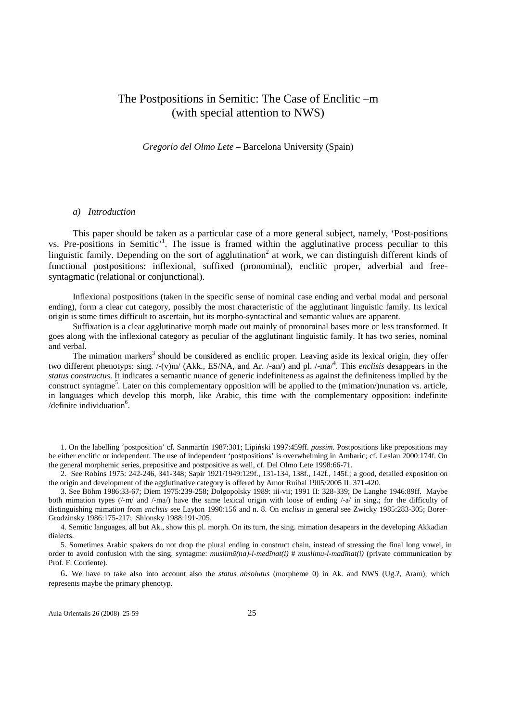# The Postpositions in Semitic: The Case of Enclitic –m (with special attention to NWS)

*Gregorio del Olmo Lete* – Barcelona University (Spain)

#### *a) Introduction*

This paper should be taken as a particular case of a more general subject, namely, 'Post-positions vs. Pre-positions in Semitic<sup>,1</sup>. The issue is framed within the agglutinative process peculiar to this linguistic family. Depending on the sort of agglutination<sup>2</sup> at work, we can distinguish different kinds of functional postpositions: inflexional, suffixed (pronominal), enclitic proper, adverbial and freesyntagmatic (relational or conjunctional).

Inflexional postpositions (taken in the specific sense of nominal case ending and verbal modal and personal ending), form a clear cut category, possibly the most characteristic of the agglutinant linguistic family. Its lexical origin is some times difficult to ascertain, but its morpho-syntactical and semantic values are apparent.

Suffixation is a clear agglutinative morph made out mainly of pronominal bases more or less transformed. It goes along with the inflexional category as peculiar of the agglutinant linguistic family. It has two series, nominal and verbal.

The mimation markers<sup>3</sup> should be considered as enclitic proper. Leaving aside its lexical origin, they offer two different phenotyps: sing. /-(v)m/ (Akk., ES/NA, and Ar. /-an/) and pl. /-ma/<sup>4</sup> . This *enclisis* desappears in the *status constructus*. It indicates a semantic nuance of generic indefiniteness as against the definiteness implied by the construct syntagme<sup>5</sup>. Later on this complementary opposition will be applied to the (mimation/)nunation vs. article, in languages which develop this morph, like Arabic, this time with the complementary opposition: indefinite /definite individuation<sup>6</sup>.

1. On the labelling 'postposition' cf. Sanmartín 1987:301; Lipiński 1997:459ff. *passim*. Postpositions like prepositions may be either enclitic or independent. The use of independent 'postpositions' is overwhelming in Amharic; cf. Leslau 2000:174f. On the general morphemic series, prepositive and postpositive as well, cf. Del Olmo Lete 1998:66-71.

2. See Robins 1975: 242-246, 341-348; Sapir 1921/1949:129f., 131-134, 138f., 142f., 145f.; a good, detailed exposition on the origin and development of the agglutinative category is offered by Amor Ruibal 1905/2005 II: 371-420.

3. See Böhm 1986:33-67; Diem 1975:239-258; Dolgopolsky 1989: iii-vii; 1991 II: 328-339; De Langhe 1946:89ff. Maybe both mimation types ( $\ell$ -m/ and  $\ell$ -ma $\ell$ ) have the same lexical origin with loose of ending  $\ell$ -a $\ell$  in sing.; for the difficulty of distinguishing mimation from *enclisis* see Layton 1990:156 and n. 8. On *enclisis* in general see Zwicky 1985:283-305; Borer-Grodzinsky 1986:175-217; Shlonsky 1988:191-205.

4. Semitic languages, all but Ak., show this pl. morph. On its turn, the sing. mimation desapears in the developing Akkadian dialects.

5. Sometimes Arabic spakers do not drop the plural ending in construct chain, instead of stressing the final long vowel, in order to avoid confusion with the sing. syntagme: *muslim*ū*(na)-l-med*ī*nat(i)* # *muslimu-l-mad*ī*nat(i)* (private communication by Prof. F. Corriente).

6. We have to take also into account also the *status absolutus* (morpheme 0) in Ak. and NWS (Ug.?, Aram), which represents maybe the primary phenotyp.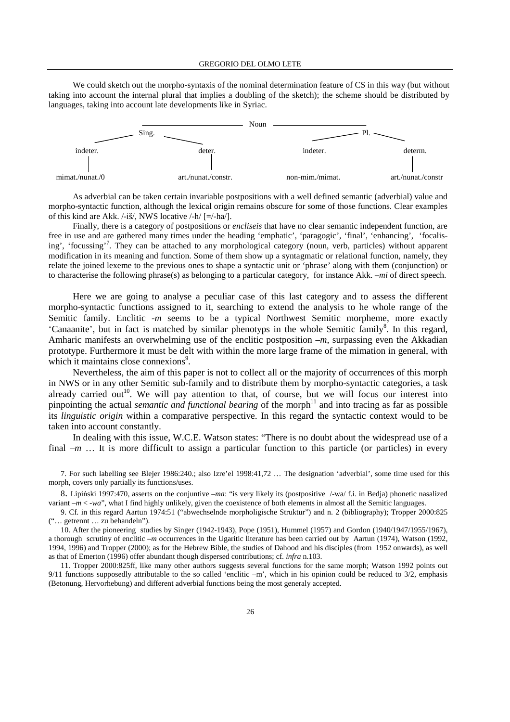We could sketch out the morpho-syntaxis of the nominal determination feature of CS in this way (but without taking into account the internal plural that implies a doubling of the sketch); the scheme should be distributed by languages, taking into account late developments like in Syriac.



As adverbial can be taken certain invariable postpositions with a well defined semantic (adverbial) value and morpho-syntactic function, although the lexical origin remains obscure for some of those functions. Clear examples of this kind are Akk. /-iš/, NWS locative /-h/ [=/-ha/].

Finally, there is a category of postpositions or *encliseis* that have no clear semantic independent function, are free in use and are gathered many times under the heading 'emphatic', 'paragogic', 'final', 'enhancing', 'focalising', 'focussing'<sup>7</sup>. They can be attached to any morphological category (noun, verb, particles) without apparent modification in its meaning and function. Some of them show up a syntagmatic or relational function, namely, they relate the joined lexeme to the previous ones to shape a syntactic unit or 'phrase' along with them (conjunction) or to characterise the following phrase(s) as belonging to a particular category, for instance Akk. *–mi* of direct speech.

Here we are going to analyse a peculiar case of this last category and to assess the different morpho-syntactic functions assigned to it, searching to extend the analysis to he whole range of the Semitic family. Enclitic *-m* seems to be a typical Northwest Semitic morpheme, more exactly 'Canaanite', but in fact is matched by similar phenotyps in the whole Semitic family<sup>8</sup>. In this regard, Amharic manifests an overwhelming use of the enclitic postposition *–m*, surpassing even the Akkadian prototype. Furthermore it must be delt with within the more large frame of the mimation in general, with which it maintains close connexions<sup>9</sup>.

Nevertheless, the aim of this paper is not to collect all or the majority of occurrences of this morph in NWS or in any other Semitic sub-family and to distribute them by morpho-syntactic categories, a task already carried out<sup>10</sup>. We will pay attention to that, of course, but we will focus our interest into pinpointing the actual *semantic and functional bearing* of the morph<sup>11</sup> and into tracing as far as possible its *linguistic origin* within a comparative perspective. In this regard the syntactic context would to be taken into account constantly.

In dealing with this issue, W.C.E. Watson states: "There is no doubt about the widespread use of a final *-m* ... It is more difficult to assign a particular function to this particle (or particles) in every

7. For such labelling see Blejer 1986:240.; also Izre'el 1998:41,72 … The designation 'adverbial', some time used for this morph, covers only partially its functions/uses.

8. Lipiński 1997:470, asserts on the conjuntive –*ma*: "is very likely its (postpositive /-wa/ f.i. in Bedja) phonetic nasalized variant  $-m < -wa$ , what I find highly unlikely, given the coexistence of both elements in almost all the Semitic languages.

9. Cf. in this regard Aartun 1974:51 ("abwechselnde morpholigische Struktur") and n. 2 (bibliography); Tropper 2000:825 ("… getrennt … zu behandeln").

10. After the pioneering studies by Singer (1942-1943), Pope (1951), Hummel (1957) and Gordon (1940/1947/1955/1967), a thorough scrutiny of enclitic *–m* occurrences in the Ugaritic literature has been carried out by Aartun (1974), Watson (1992, 1994, 1996) and Tropper (2000); as for the Hebrew Bible, the studies of Dahood and his disciples (from 1952 onwards), as well as that of Emerton (1996) offer abundant though dispersed contributions; cf. *infra* n.103.

11. Tropper 2000:825ff, like many other authors suggests several functions for the same morph; Watson 1992 points out 9/11 functions supposedly attributable to the so called 'enclitic  $-m$ ', which in his opinion could be reduced to  $3/2$ , emphasis (Betonung, Hervorhebung) and different adverbial functions being the most generaly accepted.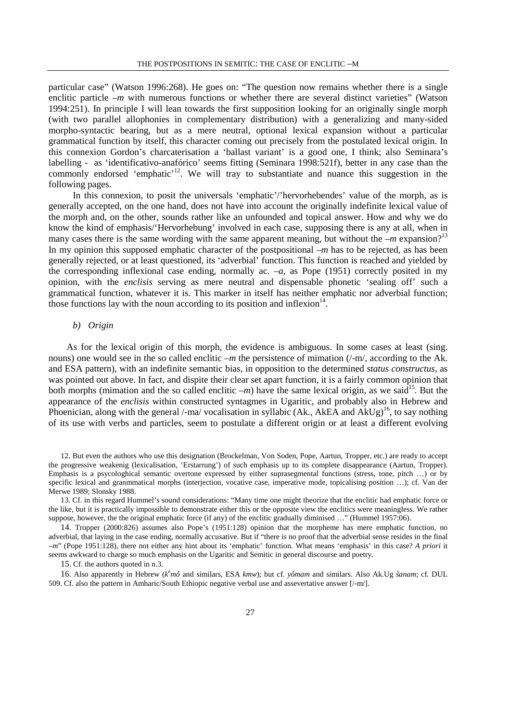particular case" (Watson 1996:268). He goes on: "The question now remains whether there is a single enclitic particle *–m* with numerous functions or whether there are several distinct varieties" (Watson 1994:251). In principle I will lean towards the first supposition looking for an originally single morph (with two parallel allophonies in complementary distribution) with a generalizing and many-sided morpho-syntactic bearing, but as a mere neutral, optional lexical expansion without a particular grammatical function by itself, this character coming out precisely from the postulated lexical origin. In this connexion Gordon's charcaterisation a 'ballast variant' is a good one, I think; also Seminara's labelling - as 'identificativo-anafórico' seems fitting (Seminara 1998:521f), better in any case than the commonly endorsed 'emphatic'<sup>12</sup>. We will tray to substantiate and nuance this suggestion in the following pages.

In this connexion, to posit the universals 'emphatic'/'hervorhebendes' value of the morph, as is generally accepted, on the one hand, does not have into account the originally indefinite lexical value of the morph and, on the other, sounds rather like an unfounded and topical answer. How and why we do know the kind of emphasis/'Hervorhebung' involved in each case, supposing there is any at all, when in many cases there is the same wording with the same apparent meaning, but without the  $-m$  expansion?<sup>13</sup> In my opinion this supposed emphatic character of the postpositional *–m* has to be rejected, as has been generally rejected, or at least questioned, its 'adverbial' function. This function is reached and yielded by the corresponding inflexional case ending, normally ac.  $-a$ , as Pope (1951) correctly posited in my opinion, with the *enclisis* serving as mere neutral and dispensable phonetic 'sealing off' such a grammatical function, whatever it is. This marker in itself has neither emphatic nor adverbial function; those functions lay with the noun according to its position and inflexion $14$ .

# *b) Origin*

As for the lexical origin of this morph, the evidence is ambiguous. In some cases at least (sing. nouns) one would see in the so called enclitic *–m* the persistence of mimation (/-m/, according to the Ak. and ESA pattern), with an indefinite semantic bias, in opposition to the determined *status constructus*, as was pointed out above. In fact, and dispite their clear set apart function, it is a fairly common opinion that both morphs (mimation and the so called enclitic  $-m$ ) have the same lexical origin, as we said<sup>15</sup>. But the appearance of the *enclisis* within constructed syntagmes in Ugaritic, and probably also in Hebrew and Phoenician, along with the general /-ma/ vocalisation in syllabic (Ak., AkEA and AkUg)<sup>16</sup>, to say nothing of its use with verbs and particles, seem to postulate a different origin or at least a different evolving

12. But even the authors who use this designation (Brockelman, Von Soden, Pope, Aartun, Tropper, etc.) are ready to accept the progressive weakenig (lexicalisation, 'Erstarrung') of such emphasis up to its complete disappearance (Aartun, Tropper). Emphasis is a psycologhical semantic overtone expressed by either suprasegmental functions (stress, tone, pitch …) or by specific lexical and granmmatical morphs (interjection, vocative case, imperative mode, topicalising position ...); cf. Van der Merwe 1989; Slonsky 1988.

<sup>13.</sup> Cf. in this regard Hummel's sound considerations: "Many time one might theorize that the enclitic had emphatic force or the like, but it is practically impossible to demonstrate either this or the opposite view the enclitics were meaningless. We rather suppose, however, the the original emphatic force (if any) of the enclitic gradually diminised ..." (Hummel 1957:06).

<sup>14</sup>. Tropper (2000:826) assumes also Pope's (1951:128) opinion that the morpheme has mere emphatic function, no adverbial, that laying in the case ending, normally accusative. But if "there is no proof that the adverbial sense resides in the final *–m*" (Pope 1951:128), there not either any hint about its 'emphatic' function. What means 'emphasis' in this case? *A priori* it seems awkward to charge so much emphasis on the Ugaritic and Semitic in general discourse and poetry.

<sup>15</sup>. Cf. the authors quoted in n.3.

<sup>16.</sup> Also apparently in Hebrew ( $k^e$ mô and similars, ESA *kmw*); but cf. *yômam* and similars. Also Ak.Ug *šanam*; cf. DUL 509. Cf. also the pattern in Amharic/South Ethiopic negative verbal use and assevertative answer [/-m/].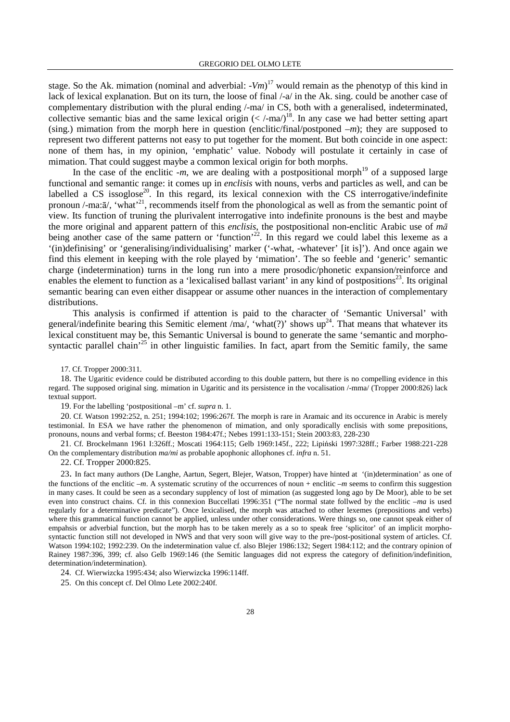stage. So the Ak. mimation (nominal and adverbial: -*Vm*) <sup>17</sup> would remain as the phenotyp of this kind in lack of lexical explanation. But on its turn, the loose of final  $\frac{1}{4}$  in the Ak. sing. could be another case of complementary distribution with the plural ending /-ma/ in CS, both with a generalised, indeterminated, collective semantic bias and the same lexical origin  $(<$  /-ma/)<sup>18</sup>. In any case we had better setting apart (sing.) mimation from the morph here in question (enclitic/final/postponed *–m*); they are supposed to represent two different patterns not easy to put together for the moment. But both coincide in one aspect: none of them has, in my opinion, 'emphatic' value. Nobody will postulate it certainly in case of mimation. That could suggest maybe a common lexical origin for both morphs.

In the case of the enclitic  $-m$ , we are dealing with a postpositional morph<sup>19</sup> of a supposed large functional and semantic range: it comes up in *enclisis* with nouns, verbs and particles as well, and can be labelled a CS issoglose<sup>20</sup>. In this regard, its lexical connexion with the CS interrogative/indefinite pronoun /-ma: $\bar{a}$ /, 'what'<sup>21</sup>, recommends itself from the phonological as well as from the semantic point of view. Its function of truning the plurivalent interrogative into indefinite pronouns is the best and maybe the more original and apparent pattern of this *enclisis*, the postpositional non-enclitic Arabic use of *m*ā being another case of the same pattern or 'function'<sup>22</sup>. In this regard we could label this lexeme as a '(in)definising' or 'generalising/individualising' marker ('-what, -whatever' [it is]'). And once again we find this element in keeping with the role played by 'mimation'. The so feeble and 'generic' semantic charge (indetermination) turns in the long run into a mere prosodic/phonetic expansion/reinforce and enables the element to function as a 'lexicalised ballast variant' in any kind of postpositions<sup>23</sup>. Its original semantic bearing can even either disappear or assume other nuances in the interaction of complementary distributions.

This analysis is confirmed if attention is paid to the character of 'Semantic Universal' with general/indefinite bearing this Semitic element /ma/, 'what(?)' shows  $up^{24}$ . That means that whatever its lexical constituent may be, this Semantic Universal is bound to generate the same 'semantic and morphosyntactic parallel chain<sup> $25$ </sup> in other linguistic families. In fact, apart from the Semitic family, the same

17. Cf. Tropper 2000:311.

18. The Ugaritic evidence could be distributed according to this double pattern, but there is no compelling evidence in this regard. The supposed original sing. mimation in Ugaritic and its persistence in the vocalisation /-mma/ (Tropper 2000:826) lack textual support.

19. For the labelling 'postpositional –m' cf. *supra* n. 1.

20. Cf. Watson 1992:252, n. 251; 1994:102; 1996:267f. The morph is rare in Aramaic and its occurence in Arabic is merely testimonial. In ESA we have rather the phenomenon of mimation, and only sporadically enclisis with some prepositions, pronouns, nouns and verbal forms; cf. Beeston 1984:47f.; Nebes 1991:133-151; Stein 2003:83, 228-230

21. Cf. Brockelmann 1961 I:326ff.; Moscati 1964:115; Gelb 1969:145f., 222; Lipiński 1997:328ff.; Farber 1988:221-228 On the complementary distribution *ma/mi* as probable apophonic allophones cf. *infra* n. 51.

22. Cf. Tropper 2000:825.

23. In fact many authors (De Langhe, Aartun, Segert, Blejer, Watson, Tropper) have hinted at '(in)determination' as one of the functions of the enclitic *–m*. A systematic scrutiny of the occurrences of noun + enclitic *–m* seems to confirm this suggestion in many cases. It could be seen as a secondary supplency of lost of mimation (as suggested long ago by De Moor), able to be set even into construct chains. Cf. in this connexion Buccellati 1996:351 ("The normal state follwed by the enclitic –*ma* is used regularly for a determinative predicate"). Once lexicalised, the morph was attached to other lexemes (prepositions and verbs) where this grammatical function cannot be applied, unless under other considerations. Were things so, one cannot speak either of empahsis or adverbial function, but the morph has to be taken merely as a so to speak free 'splicitor' of an implicit morphosyntactic function still not developed in NWS and that very soon will give way to the pre-/post-positional system of articles. Cf. Watson 1994:102; 1992:239. On the indetermination value cf. also Blejer 1986:132; Segert 1984:112; and the contrary opinion of Rainey 1987:396, 399; cf. also Gelb 1969:146 (the Semitic languages did not express the category of definition/indefinition, determination/indetermination).

24. Cf. Wierwizcka 1995:434; also Wierwizcka 1996:114ff.

25. On this concept cf. Del Olmo Lete 2002:240f.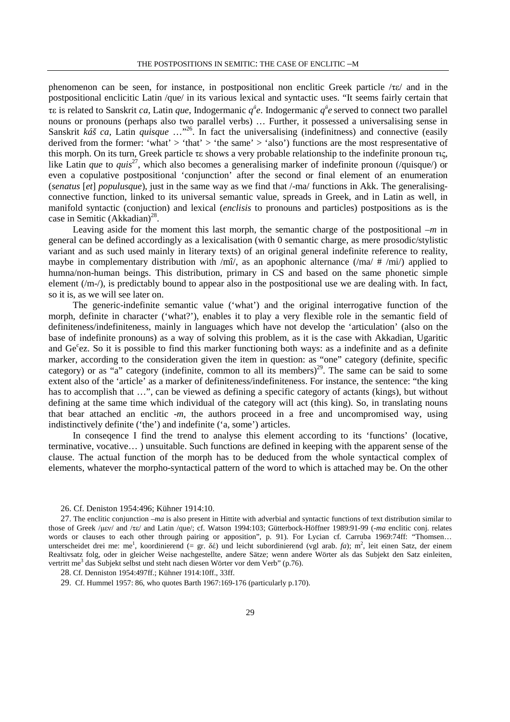phenomenon can be seen, for instance, in postpositional non enclitic Greek particle /τε/ and in the postpositional enclicitic Latin /que/ in its various lexical and syntactic uses. "It seems fairly certain that τε is related to Sanskrit *ca*, Latin *que*, Indogermanic *q* § *e*. Indogermanic *q* § *e* served to connect two parallel nouns or pronouns (perhaps also two parallel verbs) … Further, it possessed a universalising sense in Sanskrit *káš ca*, Latin *quisque* …<sup>"26</sup>. In fact the universalising (indefinitness) and connective (easily derived from the former: 'what'  $>$  'that'  $>$  'the same'  $>$  'also') functions are the most respresentative of this morph. On its turn, Greek particle τε shows a very probable relationship to the indefinite pronoun τις, like Latin *que* to *quis*<sup>27</sup>, which also becomes a generalising marker of indefinite pronoun (*quisque*/) or even a copulative postpositional 'conjunction' after the second or final element of an enumeration (*senatus* [*et*] *populusque*), just in the same way as we find that /-ma/ functions in Akk. The generalisingconnective function, linked to its universal semantic value, spreads in Greek, and in Latin as well, in manifold syntactic (conjuction) and lexical (*enclisis* to pronouns and particles) postpositions as is the case in Semitic  $(Akkadian)^{28}$ .

Leaving aside for the moment this last morph, the semantic charge of the postpositional *–m* in general can be defined accordingly as a lexicalisation (with 0 semantic charge, as mere prosodic/stylistic variant and as such used mainly in literary texts) of an original general indefinite reference to reality, maybe in complementary distribution with /m $\hat{i}$ , as an apophonic alternance (/ma/ # /mi/) applied to humna/non-human beings. This distribution, primary in CS and based on the same phonetic simple element (/m-/), is predictably bound to appear also in the postpositional use we are dealing with. In fact, so it is, as we will see later on.

The generic-indefinite semantic value ('what') and the original interrogative function of the morph, definite in character ('what?'), enables it to play a very flexible role in the semantic field of definiteness/indefiniteness, mainly in languages which have not develop the 'articulation' (also on the base of indefinite pronouns) as a way of solving this problem, as it is the case with Akkadian, Ugaritic and Ge<sup>c</sup>ez. So it is possible to find this marker functioning both ways: as a indefinite and as a definite marker, according to the consideration given the item in question: as "one" category (definite, specific category) or as "a" category (indefinite, common to all its members)<sup>29</sup>. The same can be said to some extent also of the 'article' as a marker of definiteness/indefiniteness. For instance, the sentence: "the king has to accomplish that ...", can be viewed as defining a specific category of actants (kings), but without defining at the same time which individual of the category will act (this king). So, in translating nouns that bear attached an enclitic -*m*, the authors proceed in a free and uncompromised way, using indistinctively definite ('the') and indefinite ('a, some') articles.

In conseqence I find the trend to analyse this element according to its 'functions' (locative, terminative, vocative… ) unsuitable. Such functions are defined in keeping with the apparent sense of the clause. The actual function of the morph has to be deduced from the whole syntactical complex of elements, whatever the morpho-syntactical pattern of the word to which is attached may be. On the other

<sup>26.</sup> Cf. Deniston 1954:496; Kühner 1914:10.

<sup>27</sup>. The enclitic conjunction –*ma* is also present in Hittite with adverbial and syntactic functions of text distribution similar to those of Greek /µεν/ and /τε/ and Latin /que/; cf. Watson 1994:103; Gütterbock-Höffner 1989:91-99 (-*ma* enclitic conj. relates words or clauses to each other through pairing or apposition", p. 91). For Lycian cf. Carruba 1969:74ff: "Thomsen… unterscheidet drei me: me<sup>1</sup>, koordinierend (= gr. δέ) und leicht subordinierend (vgl arab. *fa*); m<sup>2</sup>, leit einen Satz, der einem Realtivsatz folg, oder in gleicher Weise nachgestellte, andere Sätze; wenn andere Wörter als das Subjekt den Satz einleiten, vertritt me<sup>3</sup> das Subjekt selbst und steht nach diesen Wörter vor dem Verb" (p.76).

<sup>28</sup>. Cf. Denniston 1954:497ff.; Kühner 1914:10ff., 33ff.

<sup>29</sup>. Cf. Hummel 1957: 86, who quotes Barth 1967:169-176 (particularly p.170).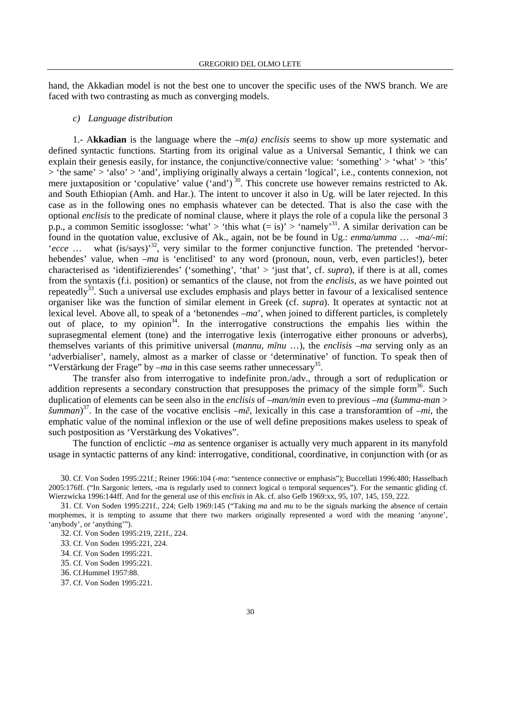hand, the Akkadian model is not the best one to uncover the specific uses of the NWS branch. We are faced with two contrasting as much as converging models.

#### *c) Language distribution*

1.- A**kkadian** is the language where the *–m(a) enclisis* seems to show up more systematic and defined syntactic functions. Starting from its original value as a Universal Semantic, I think we can explain their genesis easily, for instance, the conjunctive/connective value: 'something' > 'what' > 'this' > 'the same' > 'also' > 'and', impliying originally always a certain 'logical', i.e., contents connexion, not mere juxtaposition or 'copulative' value ('and')<sup>30</sup>. This concrete use however remains restricted to Ak. and South Ethiopian (Amh. and Har.). The intent to uncover it also in Ug. will be later rejected. In this case as in the following ones no emphasis whatever can be detected. That is also the case with the optional *enclisis* to the predicate of nominal clause, where it plays the role of a copula like the personal 3 p.p., a common Semitic issoglosse: 'what' > 'this what  $(= is)' >$  'namely'<sup>31</sup>. A similar derivation can be found in the quotation value, exclusive of Ak., again, not be be found in Ug.: *enma/umma* … -*ma/-mi*: '*ecce* ... what (is/says)<sup>32</sup>, very similar to the former conjunctive function. The pretended 'hervorhebendes' value, when *–ma* is 'enclitised' to any word (pronoun, noun, verb, even particles!), beter characterised as 'identifizierendes' ('something', 'that' > 'just that', cf. *supra*), if there is at all, comes from the syntaxis (f.i. position) or semantics of the clause, not from the *enclisis*, as we have pointed out repeatedly $33$ . Such a universal use excludes emphasis and plays better in favour of a lexicalised sentence organiser like was the function of similar element in Greek (cf. *supra*). It operates at syntactic not at lexical level. Above all, to speak of a 'betonendes *–ma*', when joined to different particles, is completely out of place, to my opinion<sup>34</sup>. In the interrogative constructions the empahis lies within the suprasegmental element (tone) and the interrogative lexis (interrogative either pronouns or adverbs), themselves variants of this primitive universal (*mannu*, *m*ī*nu* …), the *enclisis –ma* serving only as an 'adverbialiser', namely, almost as a marker of classe or 'determinative' of function. To speak then of "Verstärkung der Frage" by  $-ma$  in this case seems rather unnecessary<sup>35</sup>.

The transfer also from interrogative to indefinite pron./adv., through a sort of reduplication or addition represents a secondary construction that presupposes the primacy of the simple form<sup>36</sup>. Such duplication of elements can be seen also in the *enclisis* of *–man/min* even to previous *–ma* (*šumma-man* > *šumman*) <sup>37</sup>. In the case of the vocative enclisis *–m*ē, lexically in this case a transforamtion of *–mi*, the emphatic value of the nominal inflexion or the use of well define prepositions makes useless to speak of such postposition as 'Verstärkung des Vokatives".

The function of enclictic *–ma* as sentence organiser is actually very much apparent in its manyfold usage in syntactic patterns of any kind: interrogative, conditional, coordinative, in conjunction with (or as

30. Cf. Von Soden 1995:221f.; Reiner 1966:104 (-*ma*: "sentence connective or emphasis"); Buccellati 1996:480; Hasselbach 2005:176ff. ("In Sargonic letters, -ma is regularly used to connect logical o temporal sequences"). For the semantic gliding cf. Wierzwicka 1996:144ff. And for the general use of this *enclisis* in Ak. cf. also Gelb 1969:xx, 95, 107, 145, 159, 222.

31. Cf. Von Soden 1995:221f., 224; Gelb 1969:145 ("Taking *ma* and *mu* to be the signals marking the absence of certain morphemes, it is tempting to assume that there two markers originally represented a word with the meaning 'anyone', 'anybody', or 'anything'").

- 33. Cf. Von Soden 1995:221, 224.
- 34. Cf. Von Soden 1995:221.
- 35. Cf. Von Soden 1995:221.
- 36. Cf.Hummel 1957:88.
- 37. Cf. Von Soden 1995:221.

<sup>32</sup>. Cf. Von Soden 1995:219, 221f., 224.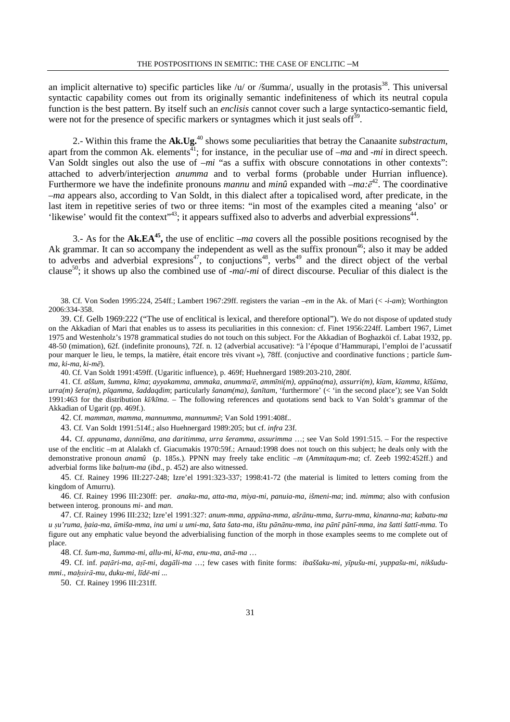an implicit alternative to) specific particles like /u/ or /šumma/, usually in the protasis<sup>38</sup>. This universal syntactic capability comes out from its originally semantic indefiniteness of which its neutral copula function is the best pattern. By itself such an *enclisis* cannot cover such a large syntactico-semantic field, were not for the presence of specific markers or syntagmes which it just seals of  $f^{39}$ .

2.- Within this frame the **Ak.Ug.**<sup>40</sup> shows some peculiarities that betray the Canaanite *substractum*, apart from the common Ak. elements<sup> $\bar{4}1$ </sup>; for instance, in the peculiar use of  $-ma$  and  $-mi$  in direct speech. Van Soldt singles out also the use of  $-mi$  "as a suffix with obscure connotations in other contexts": attached to adverb/interjection *anumma* and to verbal forms (probable under Hurrian influence). Furthermore we have the indefinite pronouns *mannu* and *minû* expanded with –*ma:*ē <sup>42</sup>. The coordinative –*ma* appears also, according to Van Soldt, in this dialect after a topicalised word, after predicate, in the last item in repetitive series of two or three items: "in most of the examples cited a meaning 'also' or 'likewise' would fit the context"<sup>43</sup>; it appears suffixed also to adverbs and adverbial expressions<sup>44</sup> .

3.- As for the **Ak.EA<sup>45</sup> ,** the use of enclitic *–ma* covers all the possible positions recognised by the Ak grammar. It can so accompany the independent as well as the suffix pronoun<sup>46</sup>; also it may be added to adverbs and adverbial expresions<sup>47</sup>, to conjuctions<sup>48</sup>, verbs<sup>49</sup> and the direct object of the verbal clause<sup>50</sup>; it shows up also the combined use of *-ma*/*-mi* of direct discourse. Peculiar of this dialect is the

39. Cf. Gelb 1969:222 ("The use of enclitical is lexical, and therefore optional"). We do not dispose of updated study on the Akkadian of Mari that enables us to assess its peculiarities in this connexion: cf. Finet 1956:224ff. Lambert 1967, Limet 1975 and Westenholz's 1978 grammatical studies do not touch on this subject. For the Akkadian of Boghazköi cf. Labat 1932, pp. 48-50 (mimation), 62f. (indefinite pronouns), 72f. n. 12 (adverbial accusative): "à l'époque d'Hammurapi, l'emploi de l'acussatif pour marquer le lieu, le temps, la matière, était encore très vivant »), 78ff. (conjuctive and coordinative functions ; particle *šumma*, *ki-ma*, *ki-m*ē).

40. Cf. Van Soldt 1991:459ff. (Ugaritic influence), p. 469f; Huehnergard 1989:203-210, 280f.

41. Cf. aššum, šumma, kīma; ayyakamma, ammaka, anumma/ē, ammīni(m), appūna(ma), assurri(m), kīam, kīamma, kīšūma, *urra(m) šera(m)*, *p*ī*qamma*, *šaddaqdim*; particularly *šanam(ma)*, *šan*ī*tam,* 'furthermore' (< 'in the second place'); see Van Soldt 1991:463 for the distribution *k*ī*/k*ī*ma*. – The following references and quotations send back to Van Soldt's grammar of the Akkadian of Ugarit (pp. 469f.).

42. Cf. *mamman*, *mamma*, *mannumma*, *mannumm*ē; Van Sold 1991:408f..

43. Cf. Van Soldt 1991:514f.; also Huehnergard 1989:205; but cf. *infra* 23f.

44. Cf. *appunama*, *dannišma*, *ana daritimma*, *urra šeramma*, *assurimma* …; see Van Sold 1991:515. – For the respective use of the enclitic –m at Alalakh cf. Giacumakis 1970:59f.; Arnaud:1998 does not touch on this subject; he deals only with the demonstrative pronoun *anamû* (p. 185s.). PPNN may freely take enclitic *–m* (*Ammitaqum-ma*; cf. Zeeb 1992:452ff.) and adverbial forms like *baltum-ma* (*ibd.*, p. 452) are also witnessed.

45. Cf. Rainey 1996 III:227-248; Izre'el 1991:323-337; 1998:41-72 (the material is limited to letters coming from the kingdom of Amurru).

46. Cf. Rainey 1996 III:230ff: per. *anaku-ma*, *atta-ma, miya-mi*, *panuia-ma*, *išmeni-ma*; ind. *mimma*; also with confusion between interog. pronouns *mi*- and *man*.

47. Cf. Rainey 1996 III:232; Izre'el 1991:327: *anum-mma*, *app*ū*na-mma*, *ašr*ā*nu-mma*, *šurru-mma*, *kinanna-ma*; *kabatu-ma*  u su'ruma, haia-ma, ūmiša-mma, ina umi u umi-ma, šata šata-ma, ištu pānānu-mma, ina pānī pānī-mma, ina šatti šattī-mma. To figure out any emphatic value beyond the adverbialising function of the morph in those examples seems to me complete out of place.

48. Cf. *šum-ma*, *šumma-mi, allu-mi*, *k*ī*-ma*, *enu-ma*, *an*ā*-ma* …

49. Cf. inf. *pa*Ãā*ri-ma*, *a*§ī*-mi*, *dag*ā*li-ma* …; few cases with finite forms: *ibaššaku-mi, y*ī*pušu-mi, yuppašu-mi*, *nikšudummi*., *ma*≠sirā*-mu*, *duku-mi*, *l*ī*d*·*-mi ...*

50. Cf. Rainey 1996 III:231ff.

<sup>38.</sup> Cf. Von Soden 1995:224, 254ff.; Lambert 1967:29ff. registers the varian –*em* in the Ak. of Mari (< -*i-am*); Worthington 2006:334-358.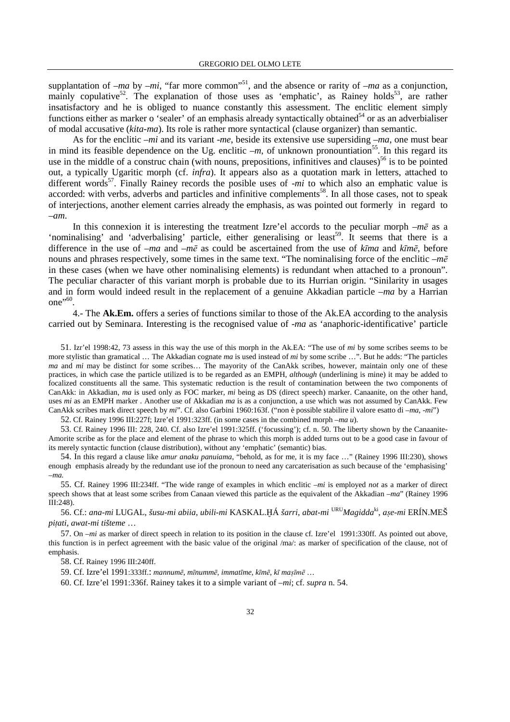supplantation of  $-ma$  by  $-mi$ , "far more common"<sup>51</sup>, and the absence or rarity of  $-ma$  as a conjunction, mainly copulative<sup>52</sup>. The explanation of those uses as 'emphatic', as Rainey holds<sup>53</sup>, are rather insatisfactory and he is obliged to nuance constantly this assessment. The enclitic element simply functions either as marker o 'sealer' of an emphasis already syntactically obtained<sup>54</sup> or as an adverbialiser of modal accusative (*kita-ma*). Its role is rather more syntactical (clause organizer) than semantic.

As for the enclitic –*mi* and its variant -*me*, beside its extensive use supersiding –*ma*, one must bear in mind its feasible dependence on the Ug. enclitic  $-m$ , of unknown pronountiation<sup>55</sup>. In this regard its use in the middle of a construc chain (with nouns, prepositions, infinitives and clauses)<sup>56</sup> is to be pointed out, a typically Ugaritic morph (cf. *infra*). It appears also as a quotation mark in letters, attached to different words<sup>57</sup>. Finally Rainey records the posible uses of -*mi* to which also an emphatic value is accorded: with verbs, adverbs and particles and infinitive complements<sup>58</sup>. In all those cases, not to speak of interjections, another element carries already the emphasis, as was pointed out formerly in regard to –*am*.

In this connexion it is interesting the treatment Izre'el accords to the peculiar morph  $-m\bar{e}$  as a 'nominalising' and 'adverbalising' particle, either generalising or least<sup>59</sup>. It seems that there is a difference in the use of –*ma* and –*m*ē as could be ascertained from the use of *k*ī*ma* and *k*ī*m*ē, before nouns and phrases respectively, some times in the same text. "The nominalising force of the enclitic *–m*ē in these cases (when we have other nominalising elements) is redundant when attached to a pronoun". The peculiar character of this variant morph is probable due to its Hurrian origin. "Sinilarity in usages and in form would indeed result in the replacement of a genuine Akkadian particle –*ma* by a Harrian one"<sup>60</sup>.

4.- The **Ak.Em.** offers a series of functions similar to those of the Ak.EA according to the analysis carried out by Seminara. Interesting is the recognised value of -*ma* as 'anaphoric-identificative' particle

51. Izr'el 1998:42, 73 assess in this way the use of this morph in the Ak.EA: "The use of *mi* by some scribes seems to be more stylistic than gramatical … The Akkadian cognate *ma* is used instead of *mi* by some scribe …". But he adds: "The particles *ma* and *mi* may be distinct for some scribes… The mayority of the CanAkk scribes, however, maintain only one of these practices, in which case the particle utilized is to be regarded as an EMPH, *although* (underlining is mine) it may be added to focalized constituents all the same. This systematic reduction is the result of contamination between the two components of CanAkk: in Akkadian, *ma* is used only as FOC marker, *mi* being as DS (direct speech) marker. Canaanite, on the other hand, uses *mi* as an EMPH marker . Another use of Akkadian *ma* is as a conjunction, a use which was not assumed by CanAkk. Few CanAkk scribes mark direct speech by *mi*". Cf. also Garbini 1960:163f. ("non è possible stabilire il valore esatto di –*ma*, -*mi*")

52. Cf. Rainey 1996 III:227f; Izre'el 1991:323ff. (in some cases in the combined morph *–ma u*).

53. Cf. Rainey 1996 III: 228, 240. Cf. also Izre'el 1991:325ff. ('focussing'); cf. n. 50. The liberty shown by the Canaanite-Amorite scribe as for the place and element of the phrase to which this morph is added turns out to be a good case in favour of its merely syntactic function (clause distribution), without any 'emphatic' (semantic) bias.

54. In this regard a clause like *amur anaku panuiama*, "behold, as for me, it is my face …" (Rainey 1996 III:230), shows enough emphasis already by the redundant use iof the pronoun to need any carcaterisation as such because of the 'emphasising' *–ma.*

55. Cf. Rainey 1996 III:234ff. "The wide range of examples in which enclitic –*mi* is employed *not* as a marker of direct speech shows that at least some scribes from Canaan viewed this particle as the equivalent of the Akkadian –*ma*" (Rainey 1996 III:248).

56. Cf.: *ana-mi* LUGAL, *šusu-mi abiia*, *ubili-mi* KASKAL.ïÁ *šarri*, *abat-mi* URU*Magidda*ki , *a*§*e-mi* ERÍN.MEŠ  $p$ *itati*, *awat-mi* tišteme ...

57. On –*mi* as marker of direct speech in relation to its position in the clause cf. Izre'el 1991:330ff. As pointed out above, this function is in perfect agreement with the basic value of the original /ma/: as marker of specification of the clause, not of emphasis.

58. Cf. Rainey 1996 III:240ff.

59. Cf. Izre'el 1991:333ff.: *mannum*ē, *m*ī*numm*ē, *immat*ī*me*, *k*ī*m*ē, *k*ī *ma*§īmē …

60. Cf. Izre'el 1991:336f. Rainey takes it to a simple variant of –*mi*; cf. *supra* n. 54.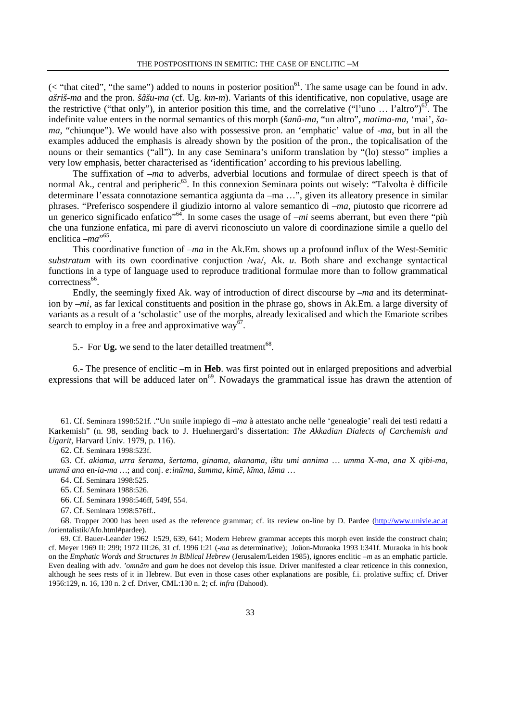$(<$  "that cited", "the same") added to nouns in posterior position<sup>61</sup>. The same usage can be found in adv. *ašriš-ma* and the pron. *šâšu-ma* (cf. Ug. *km-m*). Variants of this identificative, non copulative, usage are the restrictive ("that only"), in anterior position this time, and the correlative ("l'uno ... l'altro")<sup>62</sup>. The indefinite value enters in the normal semantics of this morph (*šanû-ma*, "un altro", *matima-ma*, 'mai', *šama*, "chiunque"). We would have also with possessive pron. an 'emphatic' value of -*ma*, but in all the examples adduced the emphasis is already shown by the position of the pron., the topicalisation of the nouns or their semantics ("all"). In any case Seminara's uniform translation by "(lo) stesso" implies a very low emphasis, better characterised as 'identification' according to his previous labelling.

The suffixation of –*ma* to adverbs, adverbial locutions and formulae of direct speech is that of normal Ak., central and peripheric<sup>63</sup>. In this connexion Seminara points out wisely: "Talvolta è difficile determinare l'essata connotazione semantica aggiunta da –ma …", given its alleatory presence in similar phrases. "Preferisco sospendere il giudizio intorno al valore semantico di –*ma*, piutosto que ricorrere ad un generico significado enfatico<sup>"64</sup>. In some cases the usage of  $-mi$  seems aberrant, but even there "più che una funzione enfatica, mi pare di avervi riconosciuto un valore di coordinazione simile a quello del enclitica – *ma*<sup>\*65</sup>.

This coordinative function of –*ma* in the Ak.Em. shows up a profound influx of the West-Semitic *substratum* with its own coordinative conjuction /wa/, Ak. *u*. Both share and exchange syntactical functions in a type of language used to reproduce traditional formulae more than to follow grammatical correctness<sup>66</sup>.

Endly, the seemingly fixed Ak. way of introduction of direct discourse by –*ma* and its determination by –*mi*, as far lexical constituents and position in the phrase go, shows in Ak.Em. a large diversity of variants as a result of a 'scholastic' use of the morphs, already lexicalised and which the Emariote scribes search to employ in a free and approximative way $^{67}$ .

5.- For Ug. we send to the later detailled treatment<sup>68</sup>.

6.- The presence of enclitic –m in **Heb**. was first pointed out in enlarged prepositions and adverbial expressions that will be adduced later on<sup>69</sup>. Nowadays the grammatical issue has drawn the attention of

61. Cf. Seminara 1998:521f. ."Un smile impiego di *–ma* à attestato anche nelle 'genealogie' reali dei testi redatti a Karkemish" (n. 98, sending back to J. Huehnergard's dissertation: *The Akkadian Dialects of Carchemish and Ugarit*, Harvard Univ. 1979, p. 116).

62. Cf. Seminara 1998:523f.

63. Cf. *akiama*, *urra šerama*, *šertama*, *ginama*, *akanama*, *ištu umi annima* … *umma* X-*ma*, *ana* X *qibi-ma*, *umm*ā *ana* en-*ia-ma …*; and conj. *e:in*ū*ma*, *šumma*, *kim*ē, *k*ī*ma*, *l*ā*ma* …

64. Cf. Seminara 1998:525.

65. Cf. Seminara 1988:526.

66. Cf. Seminara 1998:546ff, 549f, 554.

67. Cf. Seminara 1998:576ff..

68. Tropper 2000 has been used as the reference grammar; cf. its review on-line by D. Pardee (http://www.univie.ac.at /orientalistik/Afo.html#pardee).

69. Cf. Bauer-Leander 1962 I:529, 639, 641; Modern Hebrew grammar accepts this morph even inside the construct chain; cf. Meyer 1969 II: 299; 1972 III:26, 31 cf. 1996 I:21 (-*ma* as determinative); Joüon-Muraoka 1993 I:341f. Muraoka in his book on the *Emphatic Words and Structures in Biblical Hebrew* (Jerusalem/Leiden 1985), ignores enclitic –*m* as an emphatic particle. Even dealing with adv. *'omn*ā*m* and *gam* he does not develop this issue. Driver manifested a clear reticence in this connexion, although he sees rests of it in Hebrew. But even in those cases other explanations are posible, f.i. prolative suffix; cf. Driver 1956:129, n. 16, 130 n. 2 cf. Driver, CML:130 n. 2; cf. *infra* (Dahood).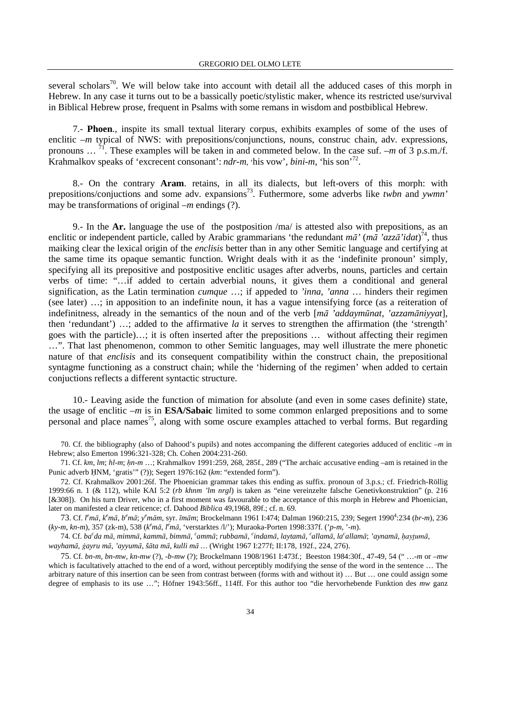several scholars<sup>70</sup>. We will below take into account with detail all the adduced cases of this morph in Hebrew. In any case it turns out to be a bassically poetic/stylistic maker, whence its restricted use/survival in Biblical Hebrew prose, frequent in Psalms with some remans in wisdom and postbiblical Hebrew.

7.- **Phoen**., inspite its small textual literary corpus, exhibits examples of some of the uses of enclitic  $-m$  typical of NWS: with prepositions/conjunctions, nouns, construc chain, adv. expressions, pronouns … <sup>71</sup>. These examples will be taken in and commeted below. In the case suf. *–m* of 3 p.s.m./f. Krahmalkov speaks of 'excrecent consonant': *ndr-m*, 'his vow', *bini-m*, 'his son'<sup>72</sup> .

8.- On the contrary **Aram**. retains, in all its dialects, but left-overs of this morph: with prepositions/conjuctions and some adv. expansions<sup>73</sup>. Futhermore, some adverbs like *twbn* and *ywmn'* may be transformations of original –*m* endings (?).

9.- In the **Ar.** language the use of the postposition /ma/ is attested also with prepositions, as an enclitic or independent particle, called by Arabic grammarians 'the redundant *m*ā*'* (*m*ā *'azz*ā*'idat*) <sup>74</sup>, thus maiking clear the lexical origin of the *enclisis* better than in any other Semitic language and certifying at the same time its opaque semantic function. Wright deals with it as the 'indefinite pronoun' simply, specifying all its prepositive and postpositive enclitic usages after adverbs, nouns, particles and certain verbs of time: "…if added to certain adverbial nouns, it gives them a conditional and general signification, as the Latin termination *cumque* …; if appeded to *'inna*, *'anna* … hinders their regimen (see later) …; in apposition to an indefinite noun, it has a vague intensifying force (as a reiteration of indefinitness, already in the semantics of the noun and of the verb [*m*ā *'addaym*ū*nat*, *'azzam*ā*niyyat*], then 'redundant') …; added to the affirmative *la* it serves to strengthen the affirmation (the 'strength' goes with the particle)…; it is often inserted after the prepositions … without affecting their regimen …". That last phenomenon, common to other Semitic languages, may well illustrate the mere phonetic nature of that *enclisis* and its consequent compatibility within the construct chain, the prepositional syntagme functioning as a construct chain; while the 'hiderning of the regimen' when added to certain conjuctions reflects a different syntactic structure.

10.- Leaving aside the function of mimation for absolute (and even in some cases definite) state, the usage of enclitic *–m* is in **ESA/Sabaic** limited to some common enlarged prepositions and to some personal and place names<sup>75</sup>, along with some oscure examples attached to verbal forms. But regarding

70. Cf. the bibliography (also of Dahood's pupils) and notes accompaning the different categories adduced of enclitic *–m* in Hebrew; also Emerton 1996:321-328; Ch. Cohen 2004:231-260.

71. Cf. km, lm; hl-m; hn-m ...; Krahmalkov 1991:259, 268, 285f., 289 ("The archaic accusative ending –am is retained in the Punic adverb HNM, 'gratis'" (?)); Segert 1976:162 (*km*: "extended form").

72. Cf. Krahmalkov 2001:26f. The Phoenician grammar takes this ending as suffix. pronoun of 3.p.s.; cf. Friedrich-Röllig 1999:66 n. 1 (& 112), while KAI 5:2 (*rb khnm 'lm nrgl*) is taken as "eine vereinzelte falsche Genetivkonstruktion" (p. 216 [&308]). On his turn Driver, who in a first moment was favourable to the acceptance of this morph in Hebrew and Phoenician, later on manifested a clear reticence; cf. Dahood *Biblica* 49,1968, 89f.; cf. n. 69.

73. Cf. l<sup>e</sup>mā, k<sup>e</sup>mā, b<sup>e</sup>mā; y<sup>e</sup>mām, syr. īmām; Brockelmann 1961 I:474; Dalman 1960:215, 239; Segert 1990<sup>4</sup>:234 (br-m), 236 (*ky-m*, *kn-m*), 357 (zk-m), 538 (*k <sup>e</sup>m*ā, *l <sup>e</sup>m*ā, 'verstarktes /l/'); Muraoka-Porten 1998:337f. ('*p-m*, '-*m*).

74. Cf. ba<sup>c</sup>da mā, mimmā, kammā, bimmā, <sup>c</sup>ammā; rubbamā, <sup>c</sup>indamā, laytamā, <sup>c</sup>allamā, la<sup>c</sup>allamā; 'aynamā, ḥayṯumā, *wayham*ā, \*ayru m*ā, *'ayyum*ā, *š*ā*ta m*ā, *kulli m*ā *…* (Wright 1967 I:277f; II:178, 192f., 224, 276).

75. Cf. *bn-m*, *bn-mw*, *kn-mw* (?), *-b-mw* (?); Brockelmann 1908/1961 I:473f.; Beeston 1984:30f., 47-49, 54 (" …-*m* or –*mw* which is facultatively attached to the end of a word, without perceptibly modifying the sense of the word in the sentence … The arbitrary nature of this insertion can be seen from contrast between (forms with and without it) … But … one could assign some degree of emphasis to its use …"; Höfner 1943:56ff., 114ff. For this author too "die hervorhebende Funktion des *mw* ganz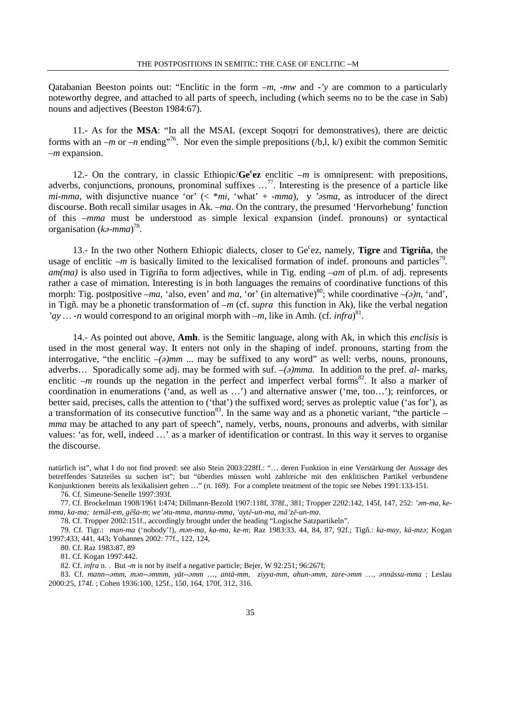Qatabanian Beeston points out: "Enclitic in the form –*m*, -*mw* and -*'y* are common to a particularly noteworthy degree, and attached to all parts of speech, including (which seems no to be the case in Sab) nouns and adjectives (Beeston 1984:67).

11.- As for the MSA: "In all the MSAL (except Soqotri for demonstratives), there are deictic forms with an *–m* or *–n* ending<sup>"76</sup>. Nor even the simple prepositions (/b,l, k/) exibit the common Semitic *–m* expansion.

12.- On the contrary, in classic Ethiopic/Ge<sup>c</sup>ez enclitic *-m* is omnipresent: with prepositions, adverbs, conjunctions, pronouns, pronominal suffixes …<sup>77</sup>. Interesting is the presence of a particle like *mi-mma*, with disjunctive nuance 'or'  $( $m$ <sup>3</sup>, 'what' + -*mma*), y *'> sma*, as introducer of the direct$ discourse. Both recall similar usages in Ak. –*ma*. On the contrary, the presumed 'Hervorhebung' function of this –*mma* must be understood as simple lexical expansion (indef. pronouns) or syntactical organisation (*k*ə*-mma*) 78 .

13.- In the two other Nothern Ethiopic dialects, closer to Ge<sup>c</sup>ez, namely, Tigre and Tigriña, the usage of enclitic  $-m$  is basically limited to the lexicalised formation of indef. pronouns and particles<sup>79</sup>. *am(ma)* is also used in Tigriña to form adjectives, while in Tig. ending *–am* of pl.m. of adj. represents rather a case of mimation. Interesting is in both languages the remains of coordinative functions of this morph: Tig. postpositive *–ma*, 'also, even' and *ma*, 'or' (in alternative)<sup>80</sup>; while coordinative *–(a)n*, 'and', in Tigñ. may be a phonetic transformation of *–m* (cf. *supra* this function in Ak), like the verbal negation *'ay ...* -*n* would correspond to an original morph with *-m*, like in Amh. (cf. *infra*)<sup>81</sup>.

14.- As pointed out above, **Amh**. is the Semitic language, along with Ak, in which this *enclisis* is used in the most general way. It enters not only in the shaping of indef. pronouns, starting from the interrogative, "the enclitic  $-(a)$ *mm* ... may be suffixed to any word" as well: verbs, nouns, pronouns, adverbs… Sporadically some adj. may be formed with suf. –*(*ə*)mma*. In addition to the pref. *al*- marks, enclitic  $-m$  rounds up the negation in the perfect and imperfect verbal forms<sup>82</sup>. It also a marker of coordination in enumerations ('and, as well as …') and alternative answer ('me, too…'); reinforces, or better said, precises, calls the attention to ('that') the suffixed word; serves as proleptic value ('as for'), as a transformation of its consecutive function<sup>83</sup>. In the same way and as a phonetic variant, "the particle – *mma* may be attached to any part of speech", namely, verbs, nouns, pronouns and adverbs, with similar values: 'as for, well, indeed …' as a marker of identification or contrast. In this way it serves to organise the discourse.

natürlich ist", what I do not find proved: see also Stein 2003:228ff.: "… deren Funktion in eine Verstärkung der Aussage des betreffendes Satzteiles su suchen ist"; but "überdies müssen wohl zahlreiche mit den enklitischen Partikel verbundene Konjunktionen bereits als lexikalisiert gelten …" (n. 169). For a complete treatment of the topic see Nebes 1991:133-151.

76. Cf. Simeone-Senelle 1997:393f.

77. Cf. Brockelman 1908/1961 I:474; Dillmann-Bezold 1907:118f, 378f., 381; Tropper 2202:142, 145f, 147, 252: *'*ə*m-ma*, *kemma*, *ka-ma; tem*ā*l-em*, *g*ē*ša-m*; *we'*ə*tu-mma*, *mannu-mma*, *'ayt*ē*-un-ma, m*ā*'z*ē*-un-ma*.

78. Cf. Tropper 2002:151f., accordingly brought under the heading "Logische Satzpartikeln".

79. Cf. Tigr.: *man-ma* ('nobody'!), *m*ə*n-ma, ka-ma, ke-m*; Raz 1983:33, 44, 84, 87, 92f.; Tigñ.: *ka-may, kä-mz*ə; Kogan 1997:433, 441, 443; Yohannes 2002: 77f., 122, 124,

80. Cf. Raz 1983:87, 89

81. Cf. Kogan 1997:442.

82. Cf. *infra* n. . But -*m* is not by itself a negative particle; Bejer, W 92:251; 96:267f;

83. Cf. *mann--*ə*mm*, *m*ə*n--*ə*mmm*, *yät--*ə*mm* …, *antä-mm*, *ziyya-mm*, *ahun-*ə*mm*, *zare-*ə*mm* …, ə*nnässu-mma* ; Leslau 2000:25, 174f. ; Cohen 1936:100, 125f., 150, 164, 170f, 312, 316.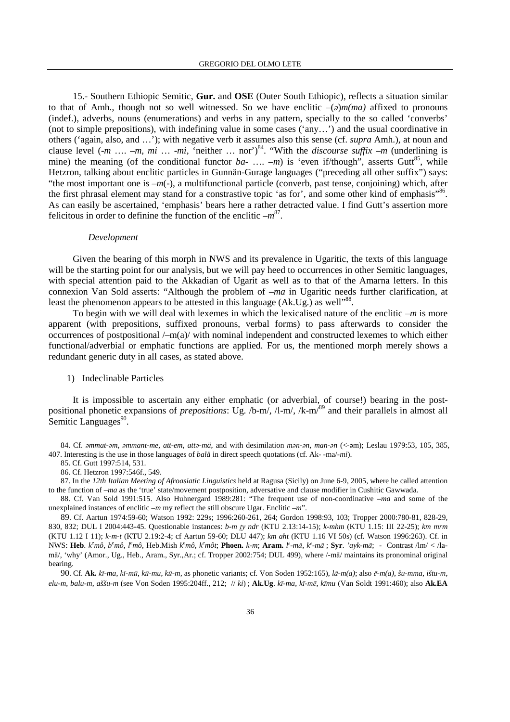15.- Southern Ethiopic Semitic, **Gur.** and **OSE** (Outer South Ethiopic), reflects a situation similar to that of Amh., though not so well witnessed. So we have enclitic  $-(a)m(ma)$  affixed to pronouns (indef.), adverbs, nouns (enumerations) and verbs in any pattern, specially to the so called 'converbs' (not to simple prepositions), with indefining value in some cases ('any…') and the usual coordinative in others ('again, also, and …'); with negative verb it assumes also this sense (cf. *supra* Amh.), at noun and clause level  $(-m \ldots -m, mi \ldots -mi,$  "neither  $\ldots$  nor")<sup>84</sup>. "With the *discourse suffix* –*m* (underlining is mine) the meaning (of the conditional functor  $ba$ - ....  $-m$ ) is 'even if/though", asserts Gutt<sup>85</sup>, while Hetzron, talking about enclitic particles in Gunnän-Gurage languages ("preceding all other suffix") says: "the most important one is –*m*(-), a multifunctional particle (converb, past tense, conjoining) which, after the first phrasal element may stand for a constrastive topic 'as for', and some other kind of emphasis"<sup>86</sup>. As can easily be ascertained, 'emphasis' bears here a rather detracted value. I find Gutt's assertion more felicitous in order to definine the function of the enclitic  $-m^{87}$ .

#### *Development*

Given the bearing of this morph in NWS and its prevalence in Ugaritic, the texts of this language will be the starting point for our analysis, but we will pay heed to occurrences in other Semitic languages, with special attention paid to the Akkadian of Ugarit as well as to that of the Amarna letters. In this connexion Van Sold asserts: "Although the problem of *–ma* in Ugaritic needs further clarification, at least the phenomenon appears to be attested in this language  $(Ak.Ug.)$  as well<sup>388</sup>.

To begin with we will deal with lexemes in which the lexicalised nature of the enclitic *–m* is more apparent (with prepositions, suffixed pronouns, verbal forms) to pass afterwards to consider the occurrences of postpositional /–m(a)/ with nominal independent and constructed lexemes to which either functional/adverbial or emphatic functions are applied. For us, the mentioned morph merely shows a redundant generic duty in all cases, as stated above.

#### 1) Indeclinable Particles

It is impossible to ascertain any either emphatic (or adverbial, of course!) bearing in the postpositional phonetic expansions of *prepositions*: Ug. /b-m/, /l-m/, /k-m/<sup>89</sup> and their parallels in almost all Semitic Languages<sup>90</sup>.

84. Cf. ə*mmat-*ə*m*, ə*mmant-me*, *att-em*, *att*ə*-mä*, and with desimilation *m*ə*n-*ə*n*, *man-*ə*n* (<-əm); Leslau 1979:53, 105, 385, 407. Interesting is the use in those languages of *balä* in direct speech quotations (cf. Ak- -ma/-*mi*).

85. Cf. Gutt 1997:514, 531.

86. Cf. Hetzron 1997:546f., 549.

87. In the *12th Italian Meeting of Afroasiatic Linguistics* held at Ragusa (Sicily) on June 6-9, 2005, where he called attention to the function of *–ma* as the 'true' state/movement postposition, adversative and clause modifier in Cushitic Gawwada.

88. Cf. Van Sold 1991:515. Also Huhnergard 1989:281: "The frequent use of non-coordinative –*ma* and some of the unexplained instances of enclitic *–m* my reflect the still obscure Ugar. Enclitic *–m*".

89. Cf. Aartun 1974:59-60; Watson 1992: 229s; 1996:260-261, 264; Gordon 1998:93, 103; Tropper 2000:780-81, 828-29, 830, 832; DUL I 2004:443-45. Questionable instances: *b-m ty ndr* (KTU 2.13:14-15); *k-mhm* (KTU 1.15: III 22-25); *km mrm* (KTU 1.12 I 11); *k-m-t* (KTU 2.19:2-4; cf Aartun 59-60; DLU 447); *km aht* (KTU 1.16 VI 50s) (cf. Watson 1996:263). Cf. in NWS: Heb.  $k^e m \hat{o}$ ,  $b^e m \hat{o}$ ,  $l^e m \hat{o}$ , Heb.Mish  $k^e m \hat{o}$ ,  $k^e m \hat{o}$ ; Phoen. k-m; Aram.  $l^e$ -mā,  $k^e$ -mā; Syr. 'ayk-mā; - Contrast /lm/ < /lamā/, 'why' (Amor., Ug., Heb., Aram., Syr.,Ar.; cf. Tropper 2002:754; DUL 499), where /-mā/ maintains its pronominal original bearing.

90. Cf. Ak. *kī*-ma, *kī*-mū, *kū*-mu, *kū-m*, as phonetic variants; cf. Von Soden 1952:165), *lā-m(a)*; also ē-m(a), šu-mma, ištu-m, *elu-m*, *balu-m*, *aššu-m* (see Von Soden 1995:204ff., 212; // *ki*) ; **Ak.Ug**. *k*ī*-ma*, *k*ī*-m*ē, *k*ī*mu* (Van Soldt 1991:460); also **Ak.EA**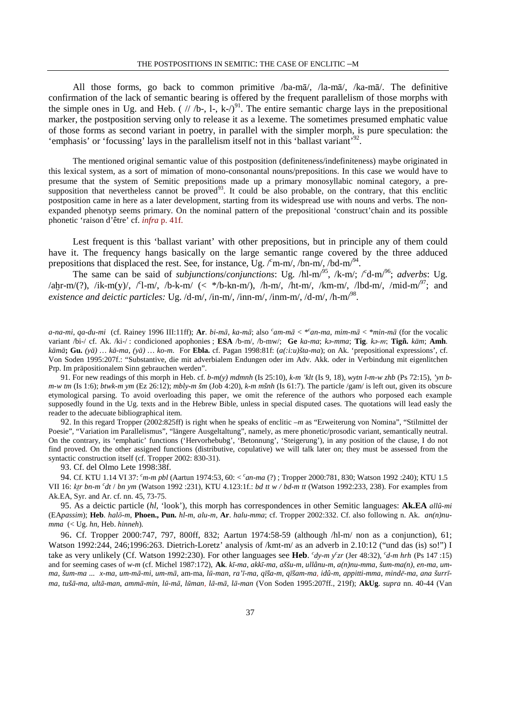All those forms, go back to common primitive /ba-mā/, /la-mā/, /ka-mā/. The definitive confirmation of the lack of semantic bearing is offered by the frequent parallelism of those morphs with the simple ones in Ug. and Heb. (  $///b-, I-, k-/-/91$ . The entire semantic charge lays in the prepositional marker, the postposition serving only to release it as a lexeme. The sometimes presumed emphatic value of those forms as second variant in poetry, in parallel with the simpler morph, is pure speculation: the 'emphasis' or 'focussing' lays in the parallelism itself not in this 'ballast variant'<sup>92</sup>.

The mentioned original semantic value of this postposition (definiteness/indefiniteness) maybe originated in this lexical system, as a sort of mimation of mono-consonantal nouns/prepositions. In this case we would have to presume that the system of Semitic prepositions made up a primary monosyllabic nominal category, a presupposition that nevertheless cannot be proved<sup>93</sup>. It could be also probable, on the contrary, that this enclitic postposition came in here as a later development, starting from its widespread use with nouns and verbs. The nonexpanded phenotyp seems primary. On the nominal pattern of the prepositional 'construct'chain and its possible phonetic 'raison d'être' cf. *infra* p. 41f.

Lest frequent is this 'ballast variant' with other prepositions, but in principle any of them could have it. The frequency hangs basically on the large semantic range covered by the three adduced prepositions that displaced the rest. See, for instance, Ug.  $\ell$ m-m/, /bn-m/, /bd-m/ $^{94}$ .

The same can be said of *subjunctions/conjunctions*: Ug. /hl-m<sup>/95</sup>, /k-m/; /<sup>c</sup>d-m<sup>/96</sup>; *adverbs*: Ug.  $\lambda$ aḫr-m/(?), /ik-m(y)/, /<sup>c</sup>l-m/, /b-k-m/ (< \*/b-kn-m/), /h-m/, /ht-m/, /km-m/, /lbd-m/, /mid-m/<sup>97</sup>; and *existence and deictic particles:* Ug. /d-m/, /in-m/, /inn-m/, /inm-m/, /d-m/, /h-m/<sup>98</sup> .

*a-na-mi*, *qa-du-mi* (cf. Rainey 1996 III:11ff); **Ar**. *bi-m*ā, *ka-m*ā; also *<sup>c</sup> am-m*ā < \**<sup>c</sup> an-ma*, *mim-m*ā < \**min-m*ā (for the vocalic variant /bi-/ cf. Ak. /ki-/ : condicioned apophonies ; **ESA** /b-m/, /b-mw/; **Ge** *ka-ma*; *k*ə*-mma*; **Tig**. *k*ə-m; **Tigñ.** *käm*; **Amh**. *kämä***; Gu.** *(yä) … kä-ma*, *(yä) … ko-m*. For **Ebla.** cf. Pagan 1998:81f: (*a(:i:u)šta-ma*); on Ak. 'prepositional expressions', cf. Von Soden 1995:207f.: "Substantive, die mit adverbialem Endungen oder im Adv. Akk. oder in Verbindung mit eigenlitchen Prp. Im präpositionalem Sinn gebrauchen werden".

91. For new readings of this morph in Heb. cf. *b-m(y) mdmnh* (Is 25:10), *k-m 'klt* (Is 9, 18), *wytn l-m-w zhb* (Ps 72:15), *'yn bm-w tm* (Is 1:6); *btwk-m ym* (Ez 26:12); *mbly-m šm* (Job 4:20), *k-m mšnh* (Is 61:7). The particle /gam/ is left out, given its obscure etymological parsing. To avoid overloading this paper, we omit the reference of the authors who porposed each example supposedly found in the Ug. texts and in the Hebrew Bible, unless in special disputed cases. The quotations will lead easly the reader to the adecuate bibliographical item.

92. In this regard Tropper (2002:825ff) is right when he speaks of enclitic *–m* as "Erweiterung von Nomina", "Stilmittel der Poesie", "Variation im Parallelismus", "längere Ausgeltaltung", namely, as mere phonetic/prosodic variant, semantically neutral. On the contrary, its 'emphatic' functions ('Hervorhebubg', 'Betonnung', 'Steigerung'), in any position of the clause, I do not find proved. On the other assigned functions (distributive, copulative) we will talk later on; they must be assessed from the syntactic construction itself (cf. Tropper 2002: 830-31).

93. Cf. del Olmo Lete 1998:38f.

94. Cf. KTU 1.14 VI 37: *<sup>c</sup>m-m pbl* (Aartun 1974:53, 60: < *<sup>c</sup> an-ma* (?) ; Tropper 2000:781, 830; Watson 1992 :240); KTU 1.5 VII 16: ktr bn-m <sup>c</sup>dt / bn ym (Watson 1992 :231), KTU 4.123:1f.: bd tt w / bd-m tt (Watson 1992:233, 238). For examples from Ak.EA, Syr. and Ar. cf. nn. 45, 73-75.

95. As a deictic particle (*hl*, 'look'), this morph has correspondences in other Semitic languages: **Ak.EA** *allû-mi* (EA*passim*); **Heb**. *hal*ō*-m*, **Phoen., Pun.** *hl-m*, *alu-m*, **Ar**. *halu-mma*; cf. Tropper 2002:332. Cf. also following n. Ak. *an(n)numma* (< Ug. *hn*, Heb. *hinneh*).

96. Cf. Tropper 2000:747, 797, 800ff, 832; Aartun 1974:58-59 (although /hl-m/ non as a conjunction), 61; Watson 1992:244, 246;1996:263. Dietrich-Loretz' analysis of /kmt-m/ as an adverb in 2.10:12 ("und das (is) so!") I take as very unlikely (Cf. Watson 1992:230). For other languages see **Heb**. *c dy-m y<sup>c</sup> zr* (Jer 48:32), *<sup>c</sup> d-m hrh* (Ps 147 :15) and for seeming cases of *w-m* (cf. Michel 1987:172), **Ak**. *k*ī*-ma*, *akk*ī*-ma*, *aššu-m*, *ullânu-m*, *a(n)nu-mma*, *šum-ma(n)*, *en-ma*, *um*ma, šum-ma ... x-ma, um-mā-mi, um-mā, am-ma, lū-man, ra'ī-ma, qīša-m, qīšam-ma, idû-m, appitti-mma, mindē-ma, ana šurrīma, tušā-ma, ultā-man, ammā-min, lū-mā, lūman, lā-mā, lā-man (Von Soden 1995:207ff., 219f); AkUg. supra nn. 40-44 (Van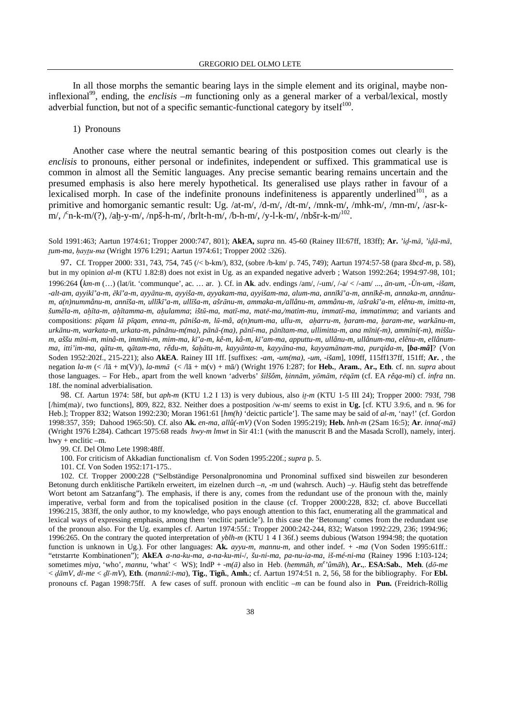In all those morphs the semantic bearing lays in the simple element and its original, maybe noninflexional<sup>99</sup>, ending, the *enclisis*  $-m$  functioning only as a general marker of a verbal/lexical, mostly adverbial function, but not of a specific semantic-functional category by itself $100$ .

#### 1) Pronouns

Another case where the neutral semantic bearing of this postposition comes out clearly is the *enclisis* to pronouns, either personal or indefinites, independent or suffixed. This grammatical use is common in almost all the Semitic languages. Any precise semantic bearing remains uncertain and the presumed emphasis is also here merely hypothetical. Its generalised use plays rather in favour of a lexicalised morph. In case of the indefinite pronouns indefiniteness is apparently underlined<sup>101</sup>, as a primitive and homorganic semantic result: Ug. /at-m/, /d-m/, /dt-m/, /mnk-m/, /mhk-m/, /mn-m/, /asr-km/, /<sup>c</sup>n-k-m/(?), /aḫ-y-m/, /npš-h-m/, /brlt-h-m/, /b-h-m/, /y-l-k-m/, /nbšr-k-m/<sup>102</sup>.

Sold 1991:463; Aartun 1974:61; Tropper 2000:747, 801); **AkEA,** *supra* nn. 45-60 (Rainey III:67ff, 183ff); **Ar.** *'i*Ä*-m*ā, *'i*Äā*-m*ā, *tum-ma, havtu-ma* (Wright 1976 I:291; Aartun 1974:61; Tropper 2002 :326).

97. Cf. Tropper 2000: 331, 743, 754, 745 (/< b-km/), 832, (sobre /b-km/ p. 745, 749); Aartun 1974:57-58 (para *šbcd-m*, p. 58), but in my opinion *al-m* (KTU 1.82:8) does not exist in Ug. as an expanded negative adverb ; Watson 1992:264; 1994:97-98, 101; 1996:264 (*km-m* (…) (lat/it. 'communque', ac. … ar. ). Cf. in **Ak**. adv. endings /am/, /-um/, /-a/ < /-am/ ..., ā*n-um*, *-Ùn-um*, *-išam*, -alt-am, ayyikī'a-m, ēkī'a-m, ayyānu-m, ayyiša-m, ayyakam-ma, ayyišam-ma, alum-ma, annīkī'a-m, annīkê-m, annaka-m, annânum, a(n)nummânu-m, annīša-m, ullīkī'a-m, ullīša-m, ašrānu-m, ammaka-m/allânu-m, ammânu-m, /ašrakī'a-m, elênu-m, imitta-m, šumēla-m, ahīta-m, ahītamma-m, ahulamma; ištū-ma, matī-ma, matē-ma/matim-mu, immatī-ma, immatimma; and variants and compositions: pīgam lā pīgam, enna-m, pāniša-m, lū-mâ, a(n)num-ma, ullu-m, aharru-m, haram-ma, haram-me, warkānu-m, urkānu-m, warkata-m, urkata-m, pānānu-m(ma), pānā-(ma), pānī-ma, pānītam-ma, ullimitta-m, ana mīni(-m), ammīni(-m), miššum, aššu mīni-m, minâ-m, immīni-m, mim-ma, kī'a-m, kê-m, kâ-m, kī'am-ma, apputtu-m, ullânu-m, ullânum-ma, elênu-m, ellânumma, itti'im-ma, qātu-m, qātam-ma, rêdu-m, šahātu-m, kayyānta-m, kayyāna-ma, kayyamānam-ma, purqida-m, [ba-mâ]? (Von Soden 1952:202f., 215-221); also **AkEA**. Rainey III 1ff. [suffixes: -*am*, -*um(ma)*, -*um*, -*išam*], 109ff, 115ff137ff, 151ff; **Ar.** , the negation *la-m* (< /lā + m(V)/), *la-mm*ā (< /lā + m(v) + mā/) (Wright 1976 I:287; for **Heb.**, **Aram.**, **Ar., Eth**. cf. nn. *supra* about those languages. – For Heb., apart from the well known 'adverbs' *šilšôm,* ú*inn*ā*m*, *y*ō*m*ā*m, r*·*q*ā*m* (cf. EA *rêqa-mi*) cf. *infra* nn. 18f. the nominal adverbialisation.

98. Cf. Aartun 1974: 58f, but *aph-m* (KTU 1.2 I 13) is very dubious, also *i*<sub>1</sub>-m (KTU 1-5 III 24); Tropper 2000: 793f, 798 [/him(ma)/, two functions], 809, 822, 832. Neither does a postposition /w-m/ seems to exist in **Ug.** [cf. KTU 3.9:6, and n. 96 for Heb.]; Tropper 832; Watson 1992:230; Moran 1961:61 [*hm(h)* 'deictic particle']. The same may be said of *al-m*, 'nay!' (cf. Gordon 1998:357, 359; Dahood 1965:50). Cf. also **Ak.** *en-ma*, *allû(-mV)* (Von Soden 1995:219); **Heb.** *hnh-m* (2Sam 16:5); **Ar**. *inna(-m*ā*)* (Wright 1976 I:284). Cathcart 1975:68 reads *hwy-m lmwt* in Sir 41:1 (with the manuscrit B and the Masada Scroll), namely, interj. hwy + enclitic –m.

99. Cf. Del Olmo Lete 1998:48ff.

100. For criticism of Akkadian functionalism cf. Von Soden 1995:220f.; *supra* p. 5.

101. Cf. Von Soden 1952:171-175..

102. Cf. Tropper 2000:228 ("Selbständige Personalpronomina und Pronominal suffixed sind bisweilen zur besonderen Betonung durch enklitische Partikeln erweitert, im eizelnen durch –*n*, -*m* und (wahrsch. Auch) –*y*. Häufig steht das betreffende Wort betont am Satzanfang"). The emphasis, if there is any, comes from the redundant use of the pronoun with the, mainly imperative, verbal form and from the topicalised position in the clause (cf. Tropper 2000:228, 832; cf. above Buccellati 1996:215, 383ff, the only author, to my knowledge, who pays enough attention to this fact, enumerating all the grammatical and lexical ways of expressing emphasis, among them 'enclitic particle'). In this case the 'Betonung' comes from the redundant use of the pronoun also. For the Ug. examples cf. Aartun 1974:55f.: Tropper 2000:242-244, 832; Watson 1992:229, 236; 1994:96; 1996:265. On the contrary the quoted interpretation of *yblh-m* (KTU 1 4 I 36f.) seems dubious (Watson 1994:98; the quotation function is unknown in Ug.). For other languages: **Ak.** *ayyu-m, mannu-m,* and other indef. + -*ma* (Von Soden 1995:61ff.: "etrstarrte Kombinationen"); **AkEA** *a-na-ku-ma*, *a-na-ku-mi-*/, *šu-ni-ma*, *pa-nu-ia-ma*, *iš-mé-ni-ma* (Rainey 1996 I:103-124; sometimes *miya*, 'who', *mannu*, 'what' < WS); IndP + -*m(*ā*)* also in Heb. (*hemm*ā*h*, *m e 'ûm*ā*h*), **Ar.**,. **ESA:Sab.**, **Meh**. (*d*ō*-me*  < Äā*mV*, *d*∞*-me* < Äī-*mV*), **Eth**. (*mann*ū*:*∞*-ma*), **Tig.**, **Tigñ.**, **Amh.**; cf. Aartun 1974:51 n. 2, 56, 58 for the bibliography. For **Ebl.** pronouns cf. Pagan 1998:75ff. A few cases of suff. pronoun with enclitic *–m* can be found also in **Pun.** (Freidrich-Röllig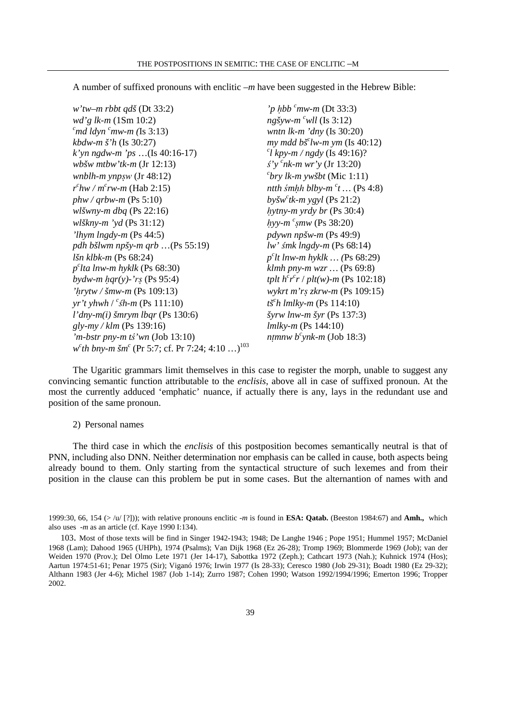A number of suffixed pronouns with enclitic *–m* have been suggested in the Hebrew Bible:

*w'tw–m rbbt qdš* (Dt 33:2) *'p hbb <sup>c</sup>mw-m* (Dt 33:3) *wd'g lk-m* (1Sm 10:2) *ngšyw-m <sup>c</sup>wll* (Is 3:12) *<sup>c</sup>md ldyn <sup>c</sup>mw-m (*Is 3:13) *wntn lk-m 'dny* (Is 30:20) *kbdw-m š'h* (Is 30:27) *k'yn ngdw-m 'ps* …(Is 40:16-17) *<sup>c</sup> wbšw mtbw'tk-m* (Jr 12:13) °*'y <sup>c</sup> wnblh-m ynp*§w (Jr 48:12) *<sup>c</sup> r c hw / m<sup>c</sup> rw-m* (Hab 2:15) *ntth śmhh blby-m <sup>c</sup>t* … (Ps 4:8)  $phw /$ *arbw-m* (Ps 5:10) *wlšwny-m dbq* (Ps 22:16) *hytny-m yrdy br* (Ps 30:4) *wlškny-m 'yd* (Ps 31:12) *'lhym lngdy-m* (Ps 44:5) *pdywn npšw-m* (Ps 49:9) *pdh bšlwm npšy-m qrb* …(Ps 55:19) *lw'* °*mk lngdy-m* (Ps 68:14) *lšn klbk-m* (Ps 68:24) *p p c*  $b$ *ydw-m hqr(y)-'rs* (Ps 95:4) *'*ú*rytw / šmw-m* (Ps 109:13) *wykrt m'r*§ *zkrw-m* (Ps 109:15) *yr't yhwh*  $\int^c \sin \theta \, dP$  (Ps 111:10) *tš*<sup>c</sup> *l'dny-m(i) šmrym lbqr* (Ps 130:6) *šyrw lnw-m šyr* (Ps 137:3) *gly-my / klm* (Ps 139:16) *lmlky-m* (Ps 144:10)  $\dot{m}$ -bstr pny-m tś<sup>'</sup>wn (Job 13:10) *w c th bny-m šm<sup>c</sup>* (Pr 5:7; cf. Pr 7:24; 4:10 …)<sup>103</sup>

*my* mdd  $b\breve{s}$ <sup>c</sup>lw-m ym (Is 40:12) *l kpy-m / ngdy* (Is 49:16)? *nk-m wr'y* (Jr 13:20) *bry lk-m ywšbt* (Mic 1:11)  $b$ *všw<sup>c</sup>tk-m ygyl* (Ps 21:2) *c* §*mw* (Ps 38:20) *c lt lnw-m hyklk … (*Ps 68:29) *lta lnw-m hyklk* (Ps 68:30) *klmh pny-m wzr …* (Ps 69:8) *r c r* / *plt(w)-m* (Ps 102:18) *h lmlky-m* (Ps 114:10) *ntmnw b<sup>c</sup>ynk-m* (Job 18:3)

The Ugaritic grammars limit themselves in this case to register the morph, unable to suggest any convincing semantic function attributable to the *enclisis*, above all in case of suffixed pronoun. At the most the currently adduced 'emphatic' nuance, if actually there is any, lays in the redundant use and position of the same pronoun.

#### 2) Personal names

The third case in which the *enclisis* of this postposition becomes semantically neutral is that of PNN, including also DNN. Neither determination nor emphasis can be called in cause, both aspects being already bound to them. Only starting from the syntactical structure of such lexemes and from their position in the clause can this problem be put in some cases. But the alternantion of names with and

<sup>1999:30, 66, 154 (&</sup>gt; /u/ [?])); with relative pronouns enclitic -*m* is found in **ESA: Qatab.** (Beeston 1984:67) and **Amh.,** which also uses *-m* as an article (cf. Kaye 1990 I:134).

<sup>103</sup>. Most of those texts will be find in Singer 1942-1943; 1948; De Langhe 1946 ; Pope 1951; Hummel 1957; McDaniel 1968 (Lam); Dahood 1965 (UHPh), 1974 (Psalms); Van Dijk 1968 (Ez 26-28); Tromp 1969; Blommerde 1969 (Job); van der Weiden 1970 (Prov.); Del Olmo Lete 1971 (Jer 14-17), Sabottka 1972 (Zeph.); Cathcart 1973 (Nah.); Kuhnick 1974 (Hos); Aartun 1974:51-61; Penar 1975 (Sir); Viganó 1976; Irwin 1977 (Is 28-33); Ceresco 1980 (Job 29-31); Boadt 1980 (Ez 29-32); Althann 1983 (Jer 4-6); Michel 1987 (Job 1-14); Zurro 1987; Cohen 1990; Watson 1992/1994/1996; Emerton 1996; Tropper 2002.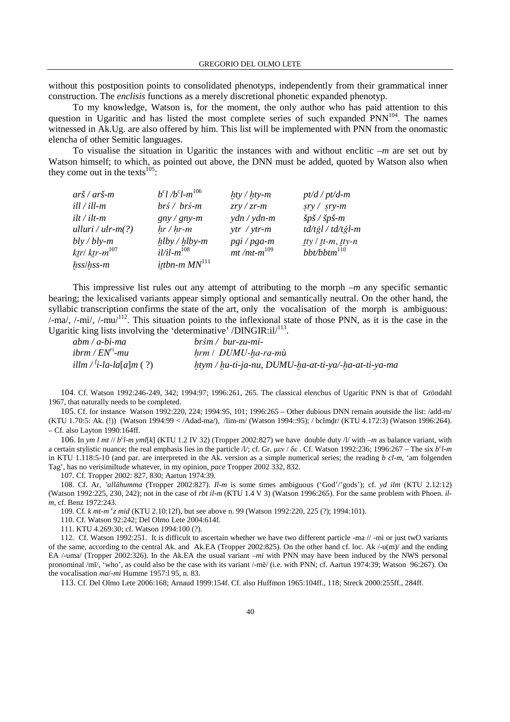without this postposition points to consolidated phenotyps, independently from their grammatical inner construction. The *enclisis* functions as a merely discretional phonetic expanded phenotyp.

To my knowledge, Watson is, for the moment, the only author who has paid attention to this question in Ugaritic and has listed the most complete series of such expanded PNN<sup>104</sup>. The names witnessed in Ak.Ug. are also offered by him. This list will be implemented with PNN from the onomastic elencha of other Semitic languages.

To visualise the situation in Ugaritic the instances with and without enclitic *–m* are set out by Watson himself; to which, as pointed out above, the DNN must be added, quoted by Watson also when they come out in the texts $^{105}$ :

| arš / arš-m          | $b^{c}l/b^{c}l-m^{106}$                 | $hty / hty-m$                       | $pt/d$ / $pt/d-m$                                |
|----------------------|-----------------------------------------|-------------------------------------|--------------------------------------------------|
| ill / ill-m          | $brs$ / $brs$ -m                        | $zry / zr$ -m                       | $sry / sry-m$                                    |
| ilt / ilt-m          | $gny/gny-m$                             | $\mathsf{y}$ dn / $\mathsf{y}$ dn-m | $\check{s}p\check{s}$ / $\check{s}p\check{s}$ -m |
| ulluri / ulr-m $(?)$ | $hr / hr$ -m                            | $ytr / ytr-m$                       | $td/t$ ğl / $td/t$ ğl-m                          |
| bly / bly-m          | $h\,by/h\,by-m$                         | $pgi/pga-m$                         | $ty / tt-m, ty-n$                                |
| ktr  ktr-m $^{107}$  | $i$ <i>l</i> $i$ l $-$ m <sup>108</sup> | $mt/mt$ - $m^{109}$                 | $bbt/b$ bt $m^{110}$                             |
| hss/hss-m            | ittbn-m $MN$ <sup>111</sup>             |                                     |                                                  |

This impressive list rules out any attempt of attributing to the morph *–m* any specific semantic bearing; the lexicalised variants appear simply optional and semantically neutral. On the other hand, the syllabic transcription confirms the state of the art, only the vocalisation of the morph is ambiguous:  $\frac{1}{2}$ -ma/,  $\frac{1}{2}$ -mi/,  $\frac{1}{2}$ . This situation points to the inflexional state of those PNN, as it is the case in the Ugaritic king lists involving the 'determinative' /DINGIR: $i1$ / $i13$ .

| $abm/a-bi$ -ma                      | $br\sin / bur$ -zu-mi-                               |
|-------------------------------------|------------------------------------------------------|
| $ibrm / ENn$ -mu                    | hrm / DUMU-ha-ra-mù                                  |
| illm / <sup>f</sup> i-la-la[a]m (?) | htym / hu-ti-ja-nu, DUMU-ha-at-ti-ya/-ha-at-ti-ya-ma |

104. Cf. Watson 1992:246-249, 342; 1994:97; 1996:261, 265. The classical elenchus of Ugaritic PNN is that of Gröndahl 1967, that naturally needs to be completed.

105. Cf. for instance Watson 1992:220, 224; 1994:95, 101; 1996:265 – Other dubious DNN remain aoutside the list: /add-m/ (KTU 1.70:5: Ak. (!)) (Watson 1994:99 < /Adad-ma/), /lim-m/ (Watson 1994::95); / bclmÄr/ (KTU 4.172:3) (Watson 1996:264). – Cf. also Layton 1990:164ff.

106. In *ym l mt* // *b<sup>c</sup> l-m yml*[*k*] (KTU 1.2 IV 32) (Tropper 2002:827) we have double duty /l/ with *–m* as balance variant, with a certain stylistic nuance; the real emphasis lies in the particle /l/; cf. Gr. μεν / δε. Cf. Watson 1992:236; 1996:267 – The six *b<sup>c</sup>l-m* in KTU 1.118:5-10 (and par. are interpreted in the Ak. version as a simple numerical series; the reading *b cl-m*, 'am folgenden Tag', has no verisimiltude whatever, in my opinion, *pace* Tropper 2002 332, 832.

107. Cf. Tropper 2002: 827, 830; Aartun 1974:39.

108. Cf. Ar, *'all*ā*humma* (Tropper 2002:827). *Il-m* is some times ambiguous ('God'/'gods'); cf. *yd ilm* (KTU 2.12:12) (Watson 1992:225, 230, 242); not in the case of *rbt il-m* (KTU 1.4 V 3) (Watson 1996:265). For the same problem with Phoen. *ilm*, cf. Benz 1972:243.

109. Cf. *k mt-m <sup>c</sup> z mid* (KTU 2.10:12f), but see above n. 99 (Watson 1992:220, 225 (?); 1994:101).

110. Cf. Watson 92:242; Del Olmo Lete 2004:614f.

111. KTU 4.269:30; cf. Watson 1994:100 (?).

112. Cf. Watson 1992:251. It is difficult to ascertain whether we have two different particle -ma // -mi or just twO variants of the same, according to the central Ak. and Ak.EA (Tropper 2002:825). On the other hand cf. loc. Ak /-u(m)/ and the ending EA /-uma/ (Tropper 2002:326). In the Ak.EA the usual variant –*mi* with PNN may have been induced by the NWS personal pronominal /mī/, 'who', as could also be the case with its variant /-mē/ (i.e. with PNN; cf. Aartun 1974:39; Watson 96:267). On the vocalisation *ma*/-*mi* Humme 1957:l 95, n. 83.

113. Cf. Del Olmo Lete 2006:168; Arnaud 1999:154f. Cf. also Huffmon 1965:104ff., 118; Streck 2000:255ff., 284ff.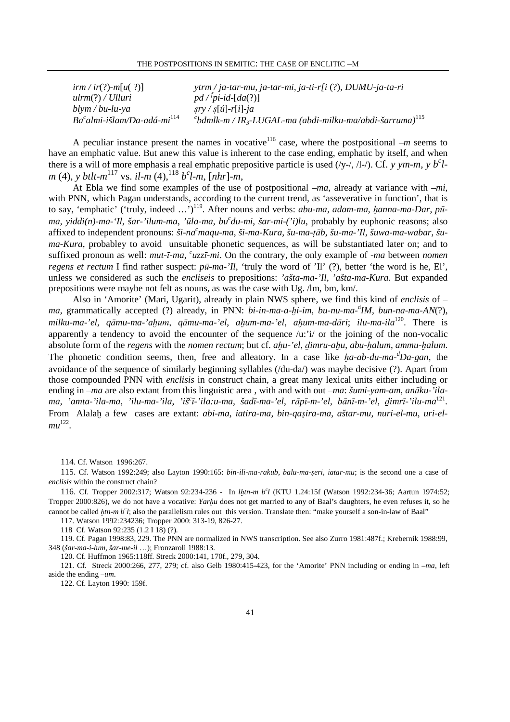| $\lim /ir(?)$ -m[u(?)]       | $y$ trm / ja-tar-mu, ja-tar-mi, ja-ti-r[i (?), DUMU-ja-ta-ri                           |
|------------------------------|----------------------------------------------------------------------------------------|
| ulrm(?) / Ulluri             | $pd$ / <sup>f</sup> pi-id-[da(?)]                                                      |
| $blym/bu-lu-ya$              | $sry / s[u]$ -r[i]-ja                                                                  |
| $Bacalmi-išlam/Da-adá-mi114$ | $^{c}$ bdmlk-m / IR <sub>3</sub> -LUGAL-ma (abdi-milku-ma/abdi-šarruma) <sup>115</sup> |

A peculiar instance present the names in vocative<sup>116</sup> case, where the postpositional  $-m$  seems to have an emphatic value. But anew this value is inherent to the case ending, emphatic by itself, and when there is a will of more emphasis a real emphatic prepositive particle is used  $(y-1)$ ,  $A$ - $\cdot$ ). Cf. *y ym-m*, *y b<sup>c</sup>lm* (4), *y btlt-m*<sup>117</sup> vs. *il-m* (4),<sup>118</sup> *b*<sup>*c*</sup>*l-m*, [*nhr*]-*m*,

At Ebla we find some examples of the use of postpositional –*ma*, already at variance with –*mi*, with PNN, which Pagan understands, according to the current trend, as 'asseverative in function', that is to say, 'emphatic' ('truly, indeed ...')<sup>119</sup>. After nouns and verbs: *abu-ma*, *adam-ma*, *hanna-ma-Dar*, *pūma*, *yiddi(n)-ma-'Il*, *šar-'ilum-ma*, *'*ū*la-ma*, *bu<sup>c</sup> du-mi*, *šar-mi-('i)lu*, probably by euphonic reasons; also affixed to independent pronouns:  $\ddot{s}i$ -na<sup>c</sup>maqu-ma,  $\ddot{s}i$ -ma-Kura,  $\ddot{s}u$ -ma-tāb,  $\ddot{s}u$ -ma-'Il,  $\ddot{s}uwa$ -ma-wabar,  $\ddot{s}u$ *ma-Kura*, probabley to avoid unsuitable phonetic sequences, as will be substantiated later on; and to suffixed pronoun as well: *mut-ī-ma*, '*uzzī-mi*. On the contrary, the only example of *-ma* between *nomen regens et rectum* I find rather suspect: *p*ū*-ma-'Il*, 'truly the word of 'Il' (?), better 'the word is he, El', unless we considered as such the *encliseis* to prepositions: *'ašta-ma-'Il*, *'ašta-ma-Kura*. But expanded prepositions were maybe not felt as nouns, as was the case with Ug. /lm, bm, km/.

Also in 'Amorite' (Mari, Ugarit), already in plain NWS sphere, we find this kind of *enclisis* of – *ma*, grammatically accepted (?) already, in PNN: *bi-in-ma-a-*≠*i-im*, *bu-nu-ma-*<sup>d</sup> *IM*, *bun-na-ma-AN*(?), *milku-ma-'el*, *q*ā*mu-ma-'a*≠um, *q*ā*mu-ma-'el*, *a*≠*um-ma-'el*, *a*≠*um-ma-d*ā*ri*; *ilu-ma-ila*<sup>120</sup>. There is apparently a tendency to avoid the encounter of the sequence  $\langle u: \dot{u} \rangle$  or the joining of the non-vocalic absolute form of the *regens* with the *nomen rectum*; but cf. *ahu-'el*, *dimru-ahu*, *abu-halum*, *ammu-halum*. The phonetic condition seems, then, free and alleatory. In a case like  $ha$ - $ab$ - $du$ - $ma$ - $\alpha$ *Da-gan*, the avoidance of the sequence of similarly beginning syllables (/du-da/) was maybe decisive (?). Apart from those compounded PNN with *enclisis* in construct chain, a great many lexical units either including or ending in –*ma* are also extant from this linguistic area , with and with out –*ma*: *šumi-yam-am*, *an*ā*ku-'ilama*, *'amta-'ila-ma*, *'ilu-ma-'ila*, *'iš<sup>c</sup>* ī*-'ila:u-ma, šad*ī*-ma-'el*, *r*ā*p*ī*-m-'el*, *b*ā*n*ī*-m-'el*, Ä*imr*ī*-'ilu-ma*<sup>121</sup> . From Alala≠ a few cases are extant: *abi-ma*, *iatira-ma*, *bin-qa*§*ira-ma*, *aštar-mu*, *nuri-el-mu*, *uri-elmu* 122 .

114. Cf. Watson 1996:267.

115. Cf. Watson 1992:249; also Layton 1990:165: *bin-ili-ma-rakub*, *balu-ma-*§*eri*, *iatar-mu*; is the second one a case of *enclisis* within the construct chain?

116. Cf. Tropper 2002:317; Watson 92:234-236 - In *l*≠*tn-m b<sup>c</sup> l* (KTU 1.24:15f (Watson 1992:234-36; Aartun 1974:52; Tropper 2000:826), we do not have a vocative: *Yarhu* does not get married to any of Baal's daughters, he even refuses it, so he cannot be called  $\mu$ *tn-m b<sup>c</sup>l*; also the parallelism rules out this version. Translate then: "make yourself a son-in-law of Baal" 117. Watson 1992:234236; Tropper 2000: 313-19, 826-27.

118 Cf. Watson 92:235 (1.2 I 18) (?).

119. Cf. Pagan 1998:83, 229. The PNN are normalized in NWS transcription. See also Zurro 1981:487f.; Krebernik 1988:99, 348 (*šar-ma-i-lum*, *šar-me-il* …); Fronzaroli 1988:13.

120. Cf. Huffmon 1965:118ff. Streck 2000:141, 170f., 279, 304.

121. Cf. Streck 2000:266, 277, 279; cf. also Gelb 1980:415-423, for the 'Amorite' PNN including or ending in –*ma*, left aside the ending –*um*.

122. Cf. Layton 1990: 159f.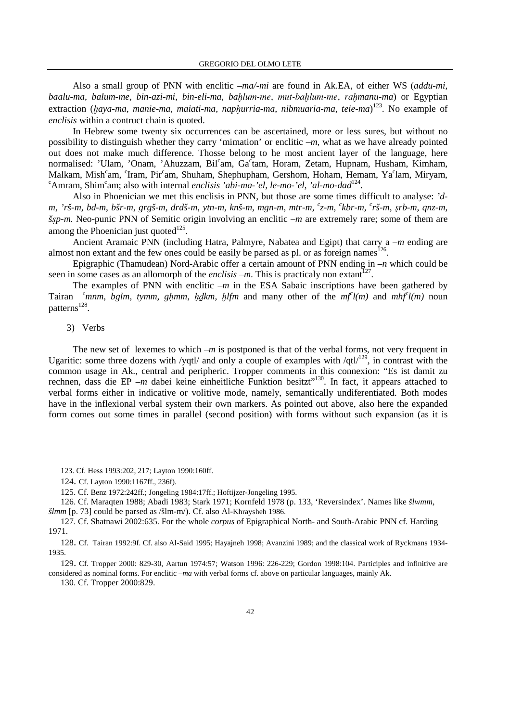Also a small group of PNN with enclitic –*ma/-mi* are found in Ak.EA, of either WS (*addu-mi*, *baalu-ma*, *balum-me*, *bin-azi-mi*, *bin-eli-ma*, *ba*≠lum-me, mut-ba≠lum-me, ra≠*manu-ma*) or Egyptian extraction (haya-ma, manie-ma, maiati-ma, naphurria-ma, nibmuaria-ma, teie-ma)<sup>123</sup>. No example of *enclisis* within a contruct chain is quoted.

In Hebrew some twenty six occurrences can be ascertained, more or less sures, but without no possibility to distinguish whether they carry 'mimation' or enclitic –*m*, what as we have already pointed out does not make much difference. Thosse belong to he most ancient layer of the language, here normalised: 'Ulam, 'Onam, 'Ahuzzam, Bil<sup>c</sup>am, Ga<sup>c</sup>tam, Horam, Zetam, Hupnam, Husham, Kimham, Malkam, Mish<sup>c</sup>am, <sup>c</sup>Iram, Pir<sup>c</sup>am, Shuham, Shephupham, Gershom, Hoham, Hemam, Ya<sup>c</sup>lam, Miryam, <sup>c</sup>Amram, Shim<sup>c</sup>am; also with internal *enclisis 'abi-ma-'el, le-mo-'el, 'al-mo-dad*<sup>124</sup>.

Also in Phoenician we met this enclisis in PNN, but those are some times difficult to analyse: *'d*m, 'rš-m, bd-m, bšr-m, grgš-m, drdš-m, ytn-m, knš-m, mgn-m, mtr-m, <sup>c</sup>z-m, <sup>c</sup>kbr-m, <sup>c</sup>rš-m, ṣrb-m, qnz-m, *š*§*p-m.* Neo-punic PNN of Semitic origin involving an enclitic –*m* are extremely rare; some of them are among the Phoenician just quoted $^{125}$ .

Ancient Aramaic PNN (including Hatra, Palmyre, Nabatea and Egipt) that carry a –*m* ending are almost non extant and the few ones could be easily be parsed as pl. or as foreign names  $126$ .

Epigraphic (Thamudean) Nord-Arabic offer a certain amount of PNN ending in –*n* which could be seen in some cases as an allomorph of the *enclisis -m*. This is practicaly non extant<sup>127</sup>.

The examples of PNN with enclitic *–m* in the ESA Sabaic inscriptions have been gathered by Tairan  $\int_a^b$  *fmnm*, *bglm*, *tymm*, *ghmm*, *hdkm*, *hlfm* and many other of the *mf*<sup>*l*</sup>(*m*) and *mhf<sup><i>el*</sup>(*m*) noun patterns<sup>128</sup>.

### 3) Verbs

The new set of lexemes to which  $-m$  is postponed is that of the verbal forms, not very frequent in Ugaritic: some three dozens with /yqtl/ and only a couple of examples with /qtl $129$ , in contrast with the common usage in Ak., central and peripheric. Tropper comments in this connexion: "Es ist damit zu rechnen, dass die EP *–m* dabei keine einheitliche Funktion besitzt<sup>"130</sup>. In fact, it appears attached to verbal forms either in indicative or volitive mode, namely, semantically undiferentiated. Both modes have in the inflexional verbal system their own markers. As pointed out above, also here the expanded form comes out some times in parallel (second position) with forms without such expansion (as it is

124. Cf. Layton 1990:1167ff., 236f).

125. Cf. Benz 1972:242ff.; Jongeling 1984:17ff.; Hoftijzer-Jongeling 1995.

126. Cf. Maraqten 1988; Abadi 1983; Stark 1971; Kornfeld 1978 (p. 133, 'Reversindex'. Names like *šlwmm*, *šlmm* [p. 73] could be parsed as /šlm-m/). Cf. also Al-Khraysheh 1986.

127. Cf. Shatnawi 2002:635. For the whole *corpus* of Epigraphical North- and South-Arabic PNN cf. Harding 1971.

128. Cf. Tairan 1992:9f. Cf. also Al-Said 1995; Hayajneh 1998; Avanzini 1989; and the classical work of Ryckmans 1934- 1935.

129. Cf. Tropper 2000: 829-30, Aartun 1974:57; Watson 1996: 226-229; Gordon 1998:104. Participles and infinitive are considered as nominal forms. For enclitic *–ma* with verbal forms cf. above on particular languages, mainly Ak.

130. Cf. Tropper 2000:829.

<sup>123.</sup> Cf. Hess 1993:202, 217; Layton 1990:160ff.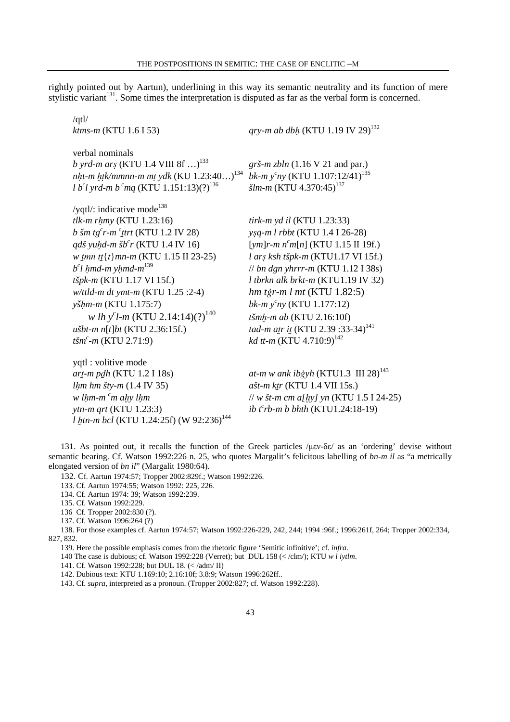rightly pointed out by Aartun), underlining in this way its semantic neutrality and its function of mere stylistic variant<sup>131</sup>. Some times the interpretation is disputed as far as the verbal form is concerned.

| $\sqrt{q}t$<br>$ktms-m$ (KTU 1.6 I 53)                                                                                                                                                                                                                                                                                                                                                                                                                                                                      | qry-m ab dbh (KTU 1.19 IV 29) <sup>132</sup>                                                                                                                                                                                                                                                                                                                                                                    |
|-------------------------------------------------------------------------------------------------------------------------------------------------------------------------------------------------------------------------------------------------------------------------------------------------------------------------------------------------------------------------------------------------------------------------------------------------------------------------------------------------------------|-----------------------------------------------------------------------------------------------------------------------------------------------------------------------------------------------------------------------------------------------------------------------------------------------------------------------------------------------------------------------------------------------------------------|
| verbal nominals<br><i>b yrd-m ars</i> (KTU 1.4 VIII 8f ) <sup>133</sup><br><i>nht-m htk/mmnn-m mt ydk</i> (KU 1.23:40) <sup>134</sup><br>l b <sup>c</sup> l yrd-m b <sup>c</sup> mq (KTU 1.151:13)(?) <sup>136</sup>                                                                                                                                                                                                                                                                                        | grš-m zbln $(1.16 \text{ V } 21 \text{ and par.})$<br>bk-m $y^cny$ (KTU 1.107:12/41) <sup>135</sup><br>$\check{s}lm\text{-}m$ (KTU 4.370:45) <sup>137</sup>                                                                                                                                                                                                                                                     |
| /yqtl/: indicative mode <sup>138</sup><br>$tlk-m r hmy$ (KTU 1.23:16)<br>b šm tg <sup>c</sup> r-m $\frac{c}{t}$ trt (KTU 1.2 IV 28)<br>qdš yuhd-m šb <sup>c</sup> r (KTU 1.4 IV 16)<br>w tmn tt $\{t\}$ mn-m (KTU 1.15 II 23-25)<br>$b^{\text{c}}l$ hmd-m yhmd-m <sup>139</sup><br>tšpk-m (KTU 1.17 VI 15f.)<br>w/ttld-m dt ymt-m (KTU 1.25 :2-4)<br>yšhm-m (KTU 1.175:7)<br>w lh y <sup>c</sup> l-m (KTU 2.14:14)(?) <sup>140</sup><br>$u$ šbt-m n[t]bt (KTU 2.36:15f.)<br>$t\check{s}m^c$ -m (KTU 2.71:9) | tirk-m yd il (KTU 1.23:33)<br>ysq-m l rbbt (KTU 1.4 I 26-28)<br>[ym]r-m $n^c m[n]$ (KTU 1.15 II 19f.)<br>l arş ksh tšpk-m (KTU1.17 VI 15f.)<br>// bn dgn yhrrr-m (KTU $1.12$ I 38s)<br>$l$ tbrkn alk brkt-m (KTU1.19 IV 32)<br>hm tġr-m $l$ mt (KTU 1.82:5)<br>bk- $m ycny$ (KTU 1.177:12)<br>tšmh-m ab (KTU 2.16:10f)<br>tad-m atr it (KTU 2.39 :33-34) <sup>141</sup><br>kd tt-m (KTU 4.710:9) <sup>142</sup> |
| yqtl : volitive mode<br>art-m pdh (KTU 1.2 I 18s)<br><i>lhm hm šty-m</i> $(1.4 \text{ IV } 35)$<br>w lhm-m <sup>c</sup> m ahy lhm<br>ytn-m qrt (KTU 1.23:3)<br>l htn-m bcl (KTU 1.24:25f) (W 92:236) <sup>144</sup>                                                                                                                                                                                                                                                                                         | at-m w ank ibgyh (KTU1.3 III 28) <sup>143</sup><br>ašt-m ktr (KTU 1.4 VII 15s.)<br>// w $\frac{5t}{m}$ cm a[hy] yn (KTU 1.5 I 24-25)<br>ib $t^c$ rb-m b bhth (KTU1.24:18-19)                                                                                                                                                                                                                                    |

131. As pointed out, it recalls the function of the Greek particles /µεν-δε/ as an 'ordering' devise without semantic bearing. Cf. Watson 1992:226 n. 25, who quotes Margalit's felicitous labelling of *bn-m il* as "a metrically elongated version of *bn il*" (Margalit 1980:64).

132. Cf. Aartun 1974:57; Tropper 2002:829f.; Watson 1992:226.

133. Cf. Aartun 1974:55; Watson 1992: 225, 226.

134. Cf. Aartun 1974: 39; Watson 1992:239.

135. Cf. Watson 1992:229.

136 Cf. Tropper 2002:830 (?).

137. Cf. Watson 1996:264 (?)

138. For those examples cf. Aartun 1974:57; Watson 1992:226-229, 242, 244; 1994 :96f.; 1996:261f, 264; Tropper 2002:334, 827, 832.

139. Here the possible emphasis comes from the rhetoric figure 'Semitic infinitive'; cf. *infra*.

140 The case is dubious; cf. Watson 1992:228 (Verret); but DUL 158 (< /clm/); KTU *w l iytlm*.

141. Cf. Watson 1992:228; but DUL 18. (< /adm/ II)

142. Dubious text: KTU 1.169:10; 2.16:10f; 3.8:9; Watson 1996:262ff..

143. Cf. *supra*, interpreted as a pronoun. (Tropper 2002:827; cf. Watson 1992:228).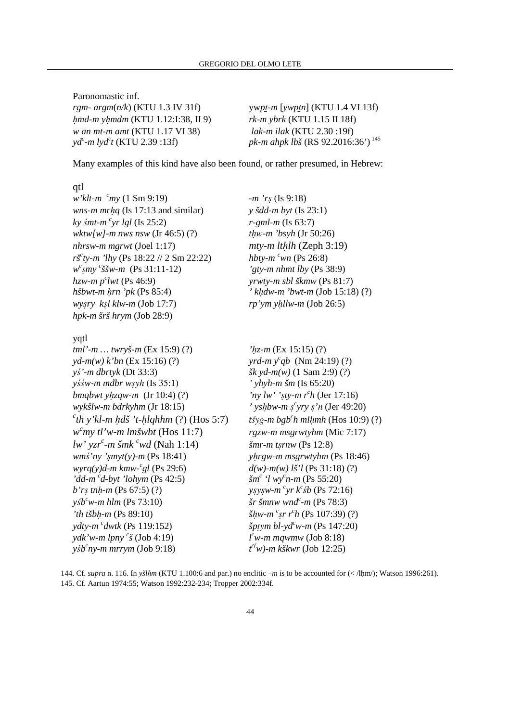Paronomastic inf. *rgm- argm*(*n/k*) (KTU 1.3 IV 31f) ywp<u>t</u>-m [*ywp*tn] (KTU 1.4 VI 13f) ú*md-m y*ú*mdm* (KTU 1.12:I:38, II 9) *rk-m ybrk* (KTU 1.15 II 18f) *w an mt-m amt* (KTU 1.17 VI 38) *lak-m ilak* (KTU 2.30 :19f) *yd<sup>c</sup> -m lyd<sup>c</sup>*

*pk-m ahpk lbš* (RS 92.2016:36')<sup>145</sup>

Many examples of this kind have also been found, or rather presumed, in Hebrew:

#### qtl

*w'klt-m <sup>c</sup>my* (1 Sm 9:19) *-m 'r*§ (Is 9:18) *wns-m mrhq* (Is 17:13 and similar)  $y \text{\'s}dd-m \text{ byt}$  (Is 23:1)  $ky \sin t$ *-m* <sup>*c*</sup> $yr \lg l$  (Is 25:2) *wktw[w]-m nws nsw* (Jr 46:5) (?) *t*úw*-m 'bsyh* (Jr 50:26) *nhrsw-m mgrwt* (Joel 1:17) *mty-m lthlh* (Zeph 3:19) *ršc ty-m 'lhy* (Ps 18:22 // 2 Sm 22:22) *hbty-m <sup>c</sup>wn* (Ps 26:8) *w c* §*my c*  $hzw$ *m p<sup><i>c*</sup>lwt (Ps 46:9)</sup> *hšbwt-m hrn 'pk* (Ps 85:4) *' khdw-m 'bwt-m* (Job 15:18) (?) *wy*§*ry k*§*l klw-m* (Job 17:7) *rp'ym y*ú*llw-m* (Job 26:5) *hpk-m šrš hrym* (Job 28:9)

#### yqtl

*tml'-m … twryš-m* (Ex 15:9) (?) *'*ú*z-m* (Ex 15:15) (?)  $yd-m(w)$  *k*'bn (Ex 15:16) (?) *y*ś*'-m dbrtyk* (Dt 33:3) *šk yd-m(w)* (1 Sam 2:9) (?) *y*śś*w-m mdbr w*§yh (Is 35:1) *' yhyh-m šm* (Is 65:20) *bmqbwt yhzqw-m*  $(Jr 10:4)$  (?) *wykšlw-m bdrkyhm* (Jr 18:15) *' ys*ú*bw-m* §  $c^c$ th y'kl-m ḥdš 't-ḥlqhhm (?) (Hos 5:7) *t*§yg-m bgb<sup>c</sup> *w <sup>c</sup>my tl'w-m lmšwbt* (Hos 11:7) *rgzw-m msgrwtyhm* (Mic 7:17) *lw' yzr<sup>c</sup> -m šmk <sup>c</sup>wd* (Nah 1:14) *šmr-m t*§*rnw* (Ps 12:8) *wm*ś*'ny '*§*myt(y)-m* (Ps 18:41) *y*ú*rgw-m msgrwtyhm* (Ps 18:46) *wyrq(y)d-m kmw-<sup>c</sup> 'dd-m <sup>c</sup> d-byt 'lohym* (Ps 42:5) *šm<sup>c</sup> b'rs tnh-m* (Ps 67:5) (?)  $y$ <sup>*sb*<sup>*c*</sup>*w*-*m hlm* (Ps 73:10) *is for smnw wnd<sup>c</sup>*</sup> *'th tšbh-m* (Ps 89:10) *ydty-m <sup><i>c</sup>dwtk* (Ps 119:152)</sup> *ydk'w-m lpny <sup>c</sup> š* (Job 4:19) *l*  $y$ *s<sup>th</sup>*<sup>c</sup>ny-m mrrym (Job 9:18) *t* 

*r*-gml-m (Is 63:7) *'gty-m nhmt lby (Ps 38:9) vrwty-m sbl škmw* (Ps 81:7)

*yrd-m*  $y^c q b$  (Nm 24:19) (?) 'ny lw' 'sty-m  $r^c h$  (Jer 17:16) *c yry* §*'*n (Jer 49:20)  $t\acute{s}yg$ -*m*  $bgb<sup>c</sup>h$  *mlhmh* (Hos 10:9) (?)  $d(w)$ -m(w) lš'l (Ps 31:18) (?)  *'l wy<sup>c</sup> n-m* (Ps 55:20)  $c_{yr} k^c$ *sb* (Ps 72:16)  $\check{s}$ r  $\check{s}$ *mnw* wnd<sup>c</sup>-m (Ps 78:3) *c* §*r r c h* (Ps 107:39) (?)  $\dot{x}$ *ptym bl-yd<sup>c</sup>w-m* (Ps 147:20)  $l^c$ *w-m mqwmw* (Job 8:18) *c(w)-m kškwr* (Job 12:25)

144. Cf. *supra* n. 116. In *yšl*ú*m* (KTU 1.100:6 and par.) no enclitic *–m* is to be accounted for (< /lúm/); Watson 1996:261). 145. Cf. Aartun 1974:55; Watson 1992:232-234; Tropper 2002:334f.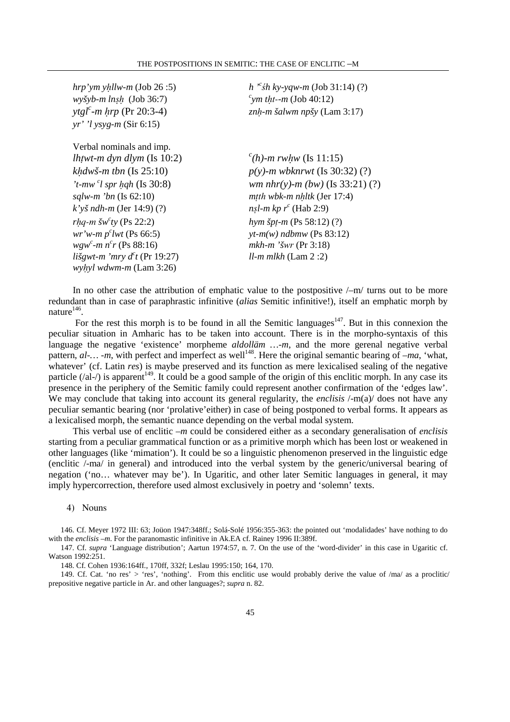| $hrp'ym$ yhllw-m (Job 26:5)               | $h''$ sh ky-yqw-m (Job 31:14) (?)      |
|-------------------------------------------|----------------------------------------|
| $wy\check{s}yb-m\;lnsh$ (Job 36:7)        | "ym tht--m (Job 40:12)                 |
| <i>ytgl<sup>c</sup>-m hrp</i> (Pr 20:3-4) | znh-m šalwm npšy (Lam $3:17$ )         |
| $yr'$ 'l ysyg-m (Sir 6:15)                |                                        |
| Verbal nominals and imp.                  |                                        |
| <i>lhtwt-m dyn dlym</i> (Is $10:2$ )      | $^{c}(h)$ -m rwhw (Is 11:15)           |
| khdwš-m tbn $($ Is 25:10 $)$              | $p(y)$ -m wbknrwt (Is 30:32) (?)       |
| 't-mw $\degree$ l spr hqh (Is 30:8)       | <i>wm nhr(y)-m (bw)</i> (Is 33:21) (?) |
| <i>sqlw-m 'bn</i> (Is $62:10$ )           | mth wbk-m nhltk (Jer $17:4$ )          |
| $k'$ yš ndh-m (Jer 14:9) (?)              | nsl-m kp $r^c$ (Hab 2:9)               |
| rhq-m šw <sup>c</sup> ty (Ps 22:2)        | hym špt-m (Ps 58:12) $(?)$             |
| <i>wr'w-m p<sup>c</sup>lwt</i> (Ps 66:5)  | $yt-m(w)$ ndbmw (Ps 83:12)             |
| wgw <sup>c</sup> -m $n^{c}r$ (Ps 88:16)   | mkh-m 'šwr (Pr 3:18)                   |
| lišgwt-m 'mry $d^c t$ (Pr 19:27)          | $ll$ - <i>m</i> mlkh (Lam 2 :2)        |
| wyhyl wdwm-m (Lam 3:26)                   |                                        |

In no other case the attribution of emphatic value to the postpositive  $\frac{\mu}{m}$  turns out to be more redundant than in case of paraphrastic infinitive (*alias* Semitic infinitive!), itself an emphatic morph by nature $^{146}$ .

For the rest this morph is to be found in all the Semitic languages<sup>147</sup>. But in this connexion the peculiar situation in Amharic has to be taken into account. There is in the morpho-syntaxis of this language the negative 'existence' morpheme *aldolläm …-m*, and the more gerenal negative verbal pattern,  $al$ -... -*m*, with perfect and imperfect as well<sup>148</sup>. Here the original semantic bearing of  $-ma$ , 'what, whatever' (cf. Latin *res*) is maybe preserved and its function as mere lexicalised sealing of the negative particle  $(\alpha a - \beta)$  is apparent<sup>149</sup>. It could be a good sample of the origin of this enclitic morph. In any case its presence in the periphery of the Semitic family could represent another confirmation of the 'edges law'. We may conclude that taking into account its general regularity, the *enclisis*  $\text{/-m(a)}$  does not have any peculiar semantic bearing (nor 'prolative'either) in case of being postponed to verbal forms. It appears as a lexicalised morph, the semantic nuance depending on the verbal modal system.

This verbal use of enclitic *–m* could be considered either as a secondary generalisation of *enclisis* starting from a peculiar grammatical function or as a primitive morph which has been lost or weakened in other languages (like 'mimation'). It could be so a linguistic phenomenon preserved in the linguistic edge (enclitic /-ma/ in general) and introduced into the verbal system by the generic/universal bearing of negation ('no… whatever may be'). In Ugaritic, and other later Semitic languages in general, it may imply hypercorrection, therefore used almost exclusively in poetry and 'solemn' texts.

#### 4) Nouns

146. Cf. Meyer 1972 III: 63; Joüon 1947:348ff.; Solá-Solé 1956:355-363: the pointed out 'modalidades' have nothing to do with the *enclisis –m*. For the paranomastic infinitive in Ak.EA cf. Rainey 1996 II:389f.

147. Cf. *supra* 'Language distribution'; Aartun 1974:57, n. 7. On the use of the 'word-divider' in this case in Ugaritic cf. Watson 1992:251.

148. Cf. Cohen 1936:164ff., 170ff, 332f; Leslau 1995:150; 164, 170.

149. Cf. Cat. 'no res' > 'res', 'nothing'. From this enclitic use would probably derive the value of  $/ma$  as a proclitic prepositive negative particle in Ar. and other languages?; *supra* n. 82.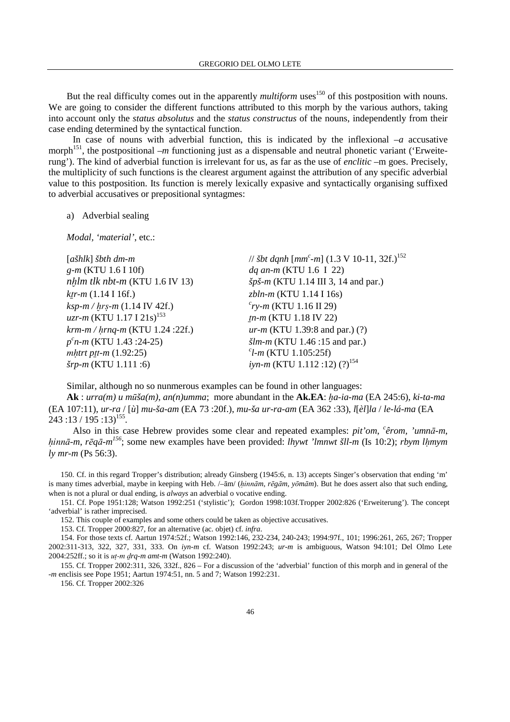But the real difficulty comes out in the apparently *multiform* uses<sup>150</sup> of this postposition with nouns. We are going to consider the different functions attributed to this morph by the various authors, taking into account only the *status absolutus* and the *status constructus* of the nouns, independently from their case ending determined by the syntactical function.

In case of nouns with adverbial function, this is indicated by the inflexional  $-a$  accusative morph<sup>151</sup>, the postpositional  $-m$  functioning just as a dispensable and neutral phonetic variant ('Erweiterung'). The kind of adverbial function is irrelevant for us, as far as the use of *enclitic* –m goes. Precisely, the multiplicity of such functions is the clearest argument against the attribution of any specific adverbial value to this postposition. Its function is merely lexically expasive and syntactically organising suffixed to adverbial accusatives or prepositional syntagmes:

a) Adverbial sealing

*Modal, 'material'*, etc.:

| $[a\check{g}hlk] \check{g}hh dm-m$    | // <i>šbt dqnh</i> $[mm^c-m]$ (1.3 V 10-11, 32f.) <sup>152</sup> |
|---------------------------------------|------------------------------------------------------------------|
| $g-m$ (KTU 1.6 I 10f)                 | dq an-m (KTU 1.6 I 22)                                           |
| $nhlm$ tlk nbt-m (KTU 1.6 IV 13)      | $\check{s}p\check{s}$ -m (KTU 1.14 III 3, 14 and par.)           |
| $ktr-m$ (1.14 I 16f.)                 | $zbln-m$ (KTU 1.14 I 16s)                                        |
| $ksp-m / hr$ s-m (1.14 IV 42f.)       | $^{c}$ ry-m (KTU 1.16 II 29)                                     |
| uzr-m (KTU 1.17 I 21s) <sup>153</sup> | $tn-m$ (KTU 1.18 IV 22)                                          |
| krm-m / hrnq-m (KTU 1.24 :22f.)       | $ur-m$ (KTU 1.39:8 and par.) (?)                                 |
| $p^{c}n-m$ (KTU 1.43 :24-25)          | $\check{slm-m}$ (KTU 1.46 :15 and par.)                          |
| mhtrt ptt- $m(1.92:25)$               | $\ell$ l-m (KTU 1.105:25f)                                       |
| $S$ rp-m (KTU 1.111 :6)               | <i>iyn-m</i> (KTU 1.112 :12) $(?)^{154}$                         |

Similar, although no so nunmerous examples can be found in other languages:

**Ak** : *urra(m) u* mūša(m), *an(n)umma*; more abundant in the **Ak.EA**: *ha-ia-ma* (EA 245:6), *ki-ta-ma* (EA 107:11), *ur-ra* / [*ù*] *mu-ša-am* (EA 73 :20f.), *mu-ša ur-ra-am* (EA 362 :33), *l*[*èl*]*la* / *le-lá-ma* (EA  $243:13/195:13$ <sup>155</sup>.

Also in this case Hebrew provides some clear and repeated examples: *pit'om*, *c êrom, 'umn*ā*-m*, hinnā-m, *rēqā-m<sup>156</sup>*; some new examples have been provided: *lhywt 'lmnwt šll-m* (Is 10:2); *rbym lhmym ly mr-m* (Ps 56:3).

150. Cf. in this regard Tropper's distribution; already Ginsberg (1945:6, n. 13) accepts Singer's observation that ending 'm' is many times adverbial, maybe in keeping with Heb. /–ām/ (úinnā*m*, *r*ē*g*ā*m*, *y*ō*m*ā*m*). But he does assert also that such ending, when is not a plural or dual ending, is *always* an adverbial o vocative ending.

151. Cf. Pope 1951:128; Watson 1992:251 ('stylistic'); Gordon 1998:103f.Tropper 2002:826 ('Erweiterung'). The concept 'adverbial' is rather imprecised.

152. This couple of examples and some others could be taken as objective accusatives.

153. Cf. Tropper 2000:827, for an alternative (ac. objet) cf. *infra*.

154. For those texts cf. Aartun 1974:52f.; Watson 1992:146, 232-234, 240-243; 1994:97f., 101; 1996:261, 265, 267; Tropper 2002:311-313, 322, 327, 331, 333. On *iyn-m* cf. Watson 1992:243; *ur-m* is ambiguous, Watson 94:101; Del Olmo Lete 2004:252ff.; so it is *ut-m drq-m amt-m* (Watson 1992:240).

155. Cf. Tropper 2002:311, 326, 332f., 826 – For a discussion of the 'adverbial' function of this morph and in general of the *-m* enclisis see Pope 1951; Aartun 1974:51, nn. 5 and 7; Watson 1992:231.

156. Cf. Tropper 2002:326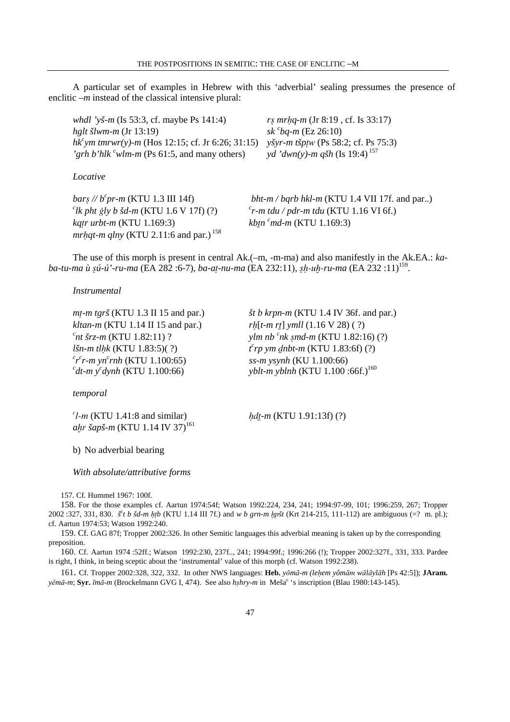A particular set of examples in Hebrew with this 'adverbial' sealing pressumes the presence of enclitic *–m* instead of the classical intensive plural:

*whdl 'yš-m* (Is 53:3, cf. maybe Ps 141:4) *r*§ *mr*ú*q-m* (Jr 8:19 , cf. Is 33:17) *hglt šlwm-m* (Jr 13:19) *sk <sup>c</sup> hk<sup>c</sup>ym tmrwr(y)-m* (Hos 12:15; cf. Jr 6:26; 31:15) *yšyr-m tšpţw* (Ps 58:2; cf. Ps 75:3) 'grh b'hlk <sup>*c*</sup>wlm-m (Ps 61:5, and many others) *yd* 'dwn(y)-m qšh (Is 19:4)<sup>157</sup>

*Locative* 

*bars* //  $b^cpr-m$  (KTU 1.3 III 14f)  $^{c}$ *lk pht §ly b šd-m* (KTU 1.6 V 17f) (?)  $^{c}$ *katr urbt-m* (KTU 1.169:3) *mrhqt-m qlny* (KTU 2.11:6 and par.)<sup>158</sup>

*bq-m* (Ez 26:10)

 $$  $\epsilon$ r-m tdu / pdr-m tdu (KTU 1.16 VI 6f.) *<sup>c</sup>md-m* (KTU 1.169:3)

The use of this morph is present in central Ak.(–m, -m-ma) and also manifestly in the Ak.EA.: *ka*ba-tu-ma ù șú-ú'-ru-ma (EA 282 :6-7), ba-aț-nu-ma (EA 232:11), șḥ-uḫ-ru-ma (EA 232 :11)<sup>159</sup>.

#### *Instrumental*

*m* $t$ -*m tgrš* (KTU 1.3 II 15 and par.) *ist b krpn-m* (KTU 1.4 IV 36f. and par.) *kltan-m* (KTU 1.14 II 15 and par.) *rh*[*t-m rt*] *ymll* (1.16 V 28) ( ?) *c nt šrz-m* (KTU 1.82:11) ? *ylm nb <sup>c</sup> vlm nb <sup>c</sup>nk smd-m* (KTU 1.82:16) (?)  $l\sin$ *m tlhk* (KTU 1.83:5)(?)  $^{c}$ *rp* ym <u>d</u>nbt-m (KTU 1.83:6f) (?)  $c_r$ <sup>c</sup> $r$ -*m* yn<sup>c</sup> *rnh* (KTU 1.100:65) *ss-m ysynh* (KU 1.100:66)  $\int_a^c dt$ -m  $y^c$ *dynh* (KTU 1.100:66) *<i>yblt-m yblnh* (KTU 1.100 :66f.)<sup>160</sup>

*temporal* 

 $^{c}$ *l-m* (KTU 1.41:8 and similar)  $hdt$ -*m* (KTU 1.91:13f) (?) *ahr šapš-m* (KTU 1.14 IV 37)<sup>161</sup>

b) No adverbial bearing

*With absolute/attributive forms* 

157. Cf. Hummel 1967: 100f.

158. For the those examples cf. Aartun 1974:54f; Watson 1992:224, 234, 241; 1994:97-99, 101; 1996:259, 267; Tropper 2002 :327, 331, 830. *s<sup>c</sup>t b šd-m \tipb* (KTU 1.14 III 7f.) and *w b grn-m \tipst* (Krt 214-215, 111-112) are ambiguous (=? m. pl.); cf. Aartun 1974:53; Watson 1992:240.

159. Cf. GAG 87f; Tropper 2002:326. In other Semitic languages this adverbial meaning is taken up by the corresponding preposition.

160. Cf. Aartun 1974 :52ff.; Watson 1992:230, 237f.., 241; 1994:99f.; 1996:266 (!); Tropper 2002:327f., 331, 333. Pardee is right, I think, in being sceptic about the 'instrumental' value of this morph (cf. Watson 1992:238).

161. Cf. Tropper 2002:328, 322, 332. In other NWS languages: **Heb.** *y*ō*m*ā*-m (le*ú*em yôm*ām *w*ā*l*ā*yl*ā*h* [Ps 42:5]); **JAram.**  *y*ĕ*m*ā*-m*; **Syr.** ī*m*ā*-m* (Brockelmann GVG I, 474). See also *h*§*hry-m* in Meša<sup>c</sup> 's inscription (Blau 1980:143-145).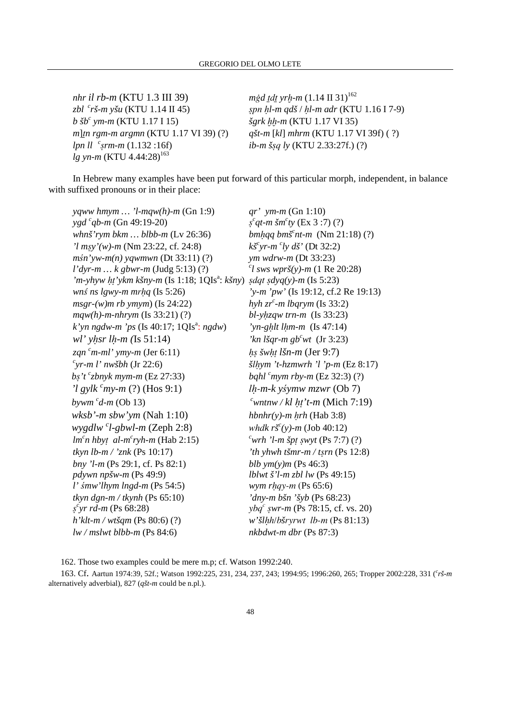*nhr il rb-m* (KTU 1.3 III 39) *mġd <u>t</u>dt yr*∤-*m* (1.14 II 31)<sup>162</sup> *zbl<sup>c</sup>rš-m yšu* (KTU 1.14 II 45) §pn ú*l-m qdš* / ú*l-m adr* (KTU 1.16 I 7-9)  $b$  *šb<sup>c</sup>* ym-m (KTU 1.17 I 15) *m*]¨*n rgm-m argmn* (KTU 1.17 VI 39) (?) *qšt-m* [*kl*] *mhrm* (KTU 1.17 VI 39f) ( ?) *lpn ll*  $\int$ <sup>c</sup>srm-m (1.132:16f) *lg yn-m* (KTU 4.44:28)<sup>163</sup>

*šgrk hh-m* (KTU 1.17 VI 35) *ib-m š§q ly* (KTU 2.33:27f.) (?)

In Hebrew many examples have been put forward of this particular morph, independent, in balance with suffixed pronouns or in their place:

*yqww hmym … 'l-mqw(h)-m* (Gn 1:9) *qr' ym-m* (Gn 1:10) *ygd <sup>c</sup> qb-m* (Gn 49:19-20) §  $^{c}$ *qt-m šm<sup>c</sup>ty* (Ex 3 :7) (?) *whnš'rym bkm ... blbb-m* (Lv 26:36) *bmhqq bmš<sup>c</sup>nt-m* (Nm 21:18) (?)  $\gamma$ *l* msy $\gamma$ (*w*)-*m* (Nm 23:22, cf. 24:8) *yr-m c ly dš'* (Dt 32:2) *m*ś*n'yw-m(n) yqwmwn* (Dt 33:11) (?) *ym wdrw-m* (Dt 33:23) *l'dyr-m … k gbwr-m* (Judg 5:13) (?) *<sup>c</sup>*  $^{c}$ *l sws wprš(y)-m* (1 Re 20:28) 'm-yhyw hț'ykm kšny-m (Is 1:18; 1QIs<sup>a</sup>: kšny) șdqt șdyq(y)-m (Is 5:23) *wnś ns lgwy-m mrhq* (Is 5:26) *'y-m 'pw'* (Is 19:12, cf.2 Re 19:13)  $msgr-(w)m$  *rb*  $ymym$  *(Is 24:22) c -m lbqrym* (Is 33:2) *mqw(h)-m-nhrym* (Is 33:21) (?) *bl-y*ú*zqw trn-m* (Is 33:23)  $k'$ *yn*  $ngdw-m'ps$  (Is 40:17; 1QIs<sup>a</sup>:  $ngdw$ ) : *ngdw*) *'yn-g*ú*lt l*ú*m-m* (Is 47:14) *wl' y*ú*sr l*ú*-m (*Is 51:14) *'kn lšqr-m gb<sup>c</sup>wt* (Jr 3:23) *zqn* <sup>c</sup>m-ml' ymy-m (Jer 6:11) *h*s *šwht lšn-m* (Jer 9:7)  $c$ <sub>Vr</sub>-m l' nwšbh (Jr 22:6) *šlhym 't-hzmwrh 'l 'p-m* (Ez 8:17)  $bs't$ <sup>c</sup><sub>z</sub>bnyk mym-m (Ez 27:33) *bqhl* <sup>*c*</sup>*mym rby-m* (Ez 32:3) (?)  $\ell$ *l*<sub>1</sub> gylk <sup>*c*</sup>my-m (?) (Hos 9:1) lh-m-k yśymw mzwr (Ob 7)  $b$ *vwm*  $^{c}$ *d-m* (Ob 13)  $\alpha$ <sup>c</sup>wntnw / kl ht't-m (Mich 7:19) *wksb'-m sbw'ym* (Nah 1:10) *hbnhr(y)-m* ú*rh* (Hab 3:8) *wygdlw <sup>c</sup> l-gbwl-m* (Zeph 2:8) whd*k rš<sup>c</sup> whdk*  $r\check{s}^c(y)$ *-m (Job 40:12) lm<sup>c</sup> n hby*à *al-m<sup>c</sup>*  $<sup>c</sup>$ *wrh 'l-m špt swyt* (Ps 7:7) (?)</sup> *tkyn lb-m / 'znk* (Ps 10:17) *'th yhwh tšmr-m / t*§*rn* (Ps 12:8) *bny 'l-m* (Ps 29:1, cf. Ps 82:1) *blb ym(y)m* (Ps 46:3) *pdywn npšw-m* (Ps 49:9) *lblwt š'l-m zbl lw* (Ps 49:15) *l' smw'lhym lngd-m* (Ps 54:5) *wym rhqy-m* (Ps 65:6) *tkyn dgn-m / tkynh* (Ps 65:10) *'dny-m bšn 'šyb* (Ps 68:23)  $\int g^c y r \, r d-m$  (Ps 68:28)  $y b q^c$  §*wr-m* (Ps 78:15, cf. vs. 20) *h'klt-m / wtšqm* (Ps 80:6) (?) *w'šl*úh/b*š*ryrwt lb-m (Ps 81:13) *lw / mslwt blbb-m* (Ps 84:6) *nkbdwt-m dbr* (Ps 87:3)

162. Those two examples could be mere m.p; cf. Watson 1992:240.

163. Cf. Aartun 1974:39, 52f.; Watson 1992:225, 231, 234, 237, 243; 1994:95; 1996:260, 265; Tropper 2002:228, 331 (*<sup>c</sup> rš-m* alternatively adverbial), 827 (*qšt-m* could be n.pl.).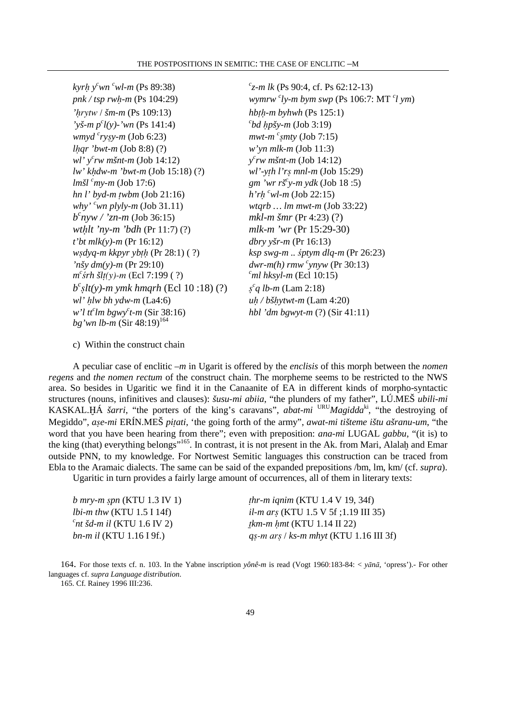*kyrḥ* y<sup>c</sup>wn <sup>c</sup>wl-m (Ps 89:38) *pnk / tsp rwh-m* (Ps 104:29) *'*úrytw / *šm-m* (Ps 109:13) *hb*≥ú*-m byhwh* (Ps 125:1) *'yš-m p<sup>c</sup> l(y)-'wn* (Ps 141:4) *<sup>c</sup> wmyd <sup>c</sup> ry*§*y-m* (Job 6:23) *mwt-m <sup>c</sup> l*ú*qr 'bwt-m* (Job 8:8) (?) *w'yn mlk-m* (Job 11:3) *wl' y<sup>c</sup> rw mšnt-m* (Job 14:12) *y lw' k*ú*dw-m 'bwt-m* (Job 15:18) (?) *wl'-y*Ã*h l'r*§ *mnl-m* (Job 15:29)  $lm\tilde{s}l^c$ *my-m* (Job 17:6) *hn l' byd-m twbm* (Job 21:16) *why' <sup>c</sup>wn plyly-m* (Job 31.11) *wtqrb … lm mwt-m* (Job 33:22) *b c wt*ú*lt 'ny-m 'bdh* (Pr 11:7) (?) *mlk-m 'wr* (Pr 15:29-30) *t'bt mlk(y)-m* (Pr 16:12) *dbry yšr-m* (Pr 16:13) *w*§*dyq-m kkpyr yb*Ãú (Pr 28:1) ( ?) *ksp swg-m ..* ś*ptym dlq-m* (Pr 26:23)  $\dot{m}$ *inšy dm(y)-m* (Pr 29:10) *m*<sup>c</sup>'srh šlt(y)-m (Ecl 7:199 ( ?) <sup>c</sup>ml hksyl-m (Ecl 10:15)  $b^{c}$ s*lt(y)-m ymk hmqrh* (Ecl 10 :18) (?) § *wl'* ú*lw bh ydw-m* (La4:6) *u*ú */ bš*ú*ytwt-m* (Lam 4:20) *w'l tt<sup>c</sup> lm bgwy<sup>c</sup> bg'wn lb-m* (Sir 48:19)<sup>164</sup>

*c z-m lk* (Ps 90:4, cf. Ps 62:12-13)  $c$ <sup>*ly-m bym swp* (Ps 106:7: MT  $c$ <sup>*l*</sup> *ym*)</sup>  $^{c}bd$  *hpšy-m* (Job 3:19)  $mwt-m$ <sup>c</sup>smty (Job 7:15) *c rw mšnt-m* (Job 14:12) *y-m ydk* (Job 18 :5)  $h'rh<sup>c</sup>wl-m$  (Job 22:15) *mkl-m šmr* (Pr 4:23) (?)  $dwr-m(h)$  rmw <sup>c</sup> vn vw (Pr 30:13) *c q lb-m* (Lam 2:18) *hbl 'dm bgwyt-m (?)* (Sir 41:11)

c) Within the construct chain

A peculiar case of enclitic *–m* in Ugarit is offered by the *enclisis* of this morph between the *nomen regens* and *the nomen rectum* of the construct chain. The morpheme seems to be restricted to the NWS area. So besides in Ugaritic we find it in the Canaanite of EA in different kinds of morpho-syntactic structures (nouns, infinitives and clauses): *šusu-mi abiia*, "the plunders of my father", LÚ.MEŠ *ubili-mi* KASKAL.HÁ *šarri*, "the porters of the king's caravans", *abat-mi* URU *Magidda*<sup>ki</sup>, "the destroying of Megiddo", *ase-mi* ERÍN.MEŠ *pitati*, 'the going forth of the army", *awat-mi tišteme ištu ašranu-um*, "the word that you have been hearing from there"; even with preposition: *ana-mi* LUGAL *gabbu*, "(it is) to the king (that) everything belongs"<sup>165</sup>. In contrast, it is not present in the Ak. from Mari, Alalah and Emar outside PNN, to my knowledge. For Nortwest Semitic languages this construction can be traced from Ebla to the Aramaic dialects. The same can be said of the expanded prepositions /bm, lm, km/ (cf. *supra*). Ugaritic in turn provides a fairly large amount of occurrences, all of them in literary texts:

*b* mry-m *spn* (KTU 1.3 IV 1) *thr-m iqnim* (KTU 1.4 V 19, 34f) *lbi-m thw* (KTU 1.5 I 14f) *il-m ar*§ (KTU 1.5 V 5f ;1.19 III 35)  $c$ <sub>nt</sub> *šd-m il* (KTU 1.6 IV 2) *tkm-m hmt* (KTU 1.14 II 22) *bn-m il* (KTU 1.16 I 9f.) *q*§-m ar§ / *ks-m mhyt* (KTU 1.16 III 3f)

164. For those texts cf. n. 103. In the Yabne inscription *yônê-m* is read (Vogt 1960:183-84: < *y*ā*n*ā, 'opress').- For other languages cf. *supra Language distribution*.

165. Cf. Rainey 1996 III:236.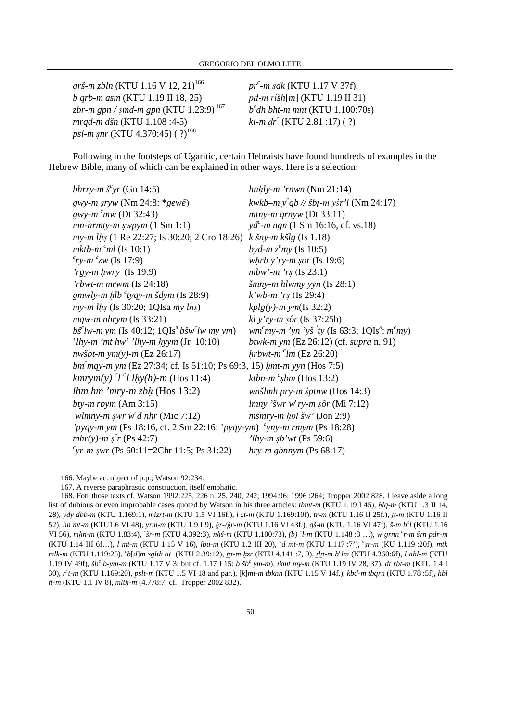$gr\check{s}$ *-m zbln* (KTU 1.16 V 12, 21)<sup>166</sup> *b qrb-m asm* (KTU 1.19 II 18, 25) pd-m ri*šh*[*m*] (KTU 1.19 II 31) zbr-m gpn / șmd-m gpn (KTU 1.23:9)<sup>167</sup> *mrqd-m dšn* (KTU 1.108 :4-5) *psl-m ṣnr* (KTU 4.370:45) (?)<sup>168</sup>

 *pr c -m* §*dk* (KTU 1.17 V 37f), *b c dh bht-m mnt* (KTU 1.100:70s) *c* (KTU 2.81 :17) ( ?)

Following in the footsteps of Ugaritic, certain Hebraists have found hundreds of examples in the Hebrew Bible, many of which can be explained in other ways. Here is a selection:

| bhrry-m $\check{s}^c$ yr (Gn 14:5)                                                                 | $hnhly-m'rnwn$ (Nm 21:14)                                                        |  |
|----------------------------------------------------------------------------------------------------|----------------------------------------------------------------------------------|--|
| gwy-m sryw (Nm 24:8: $*$ gewê)                                                                     | kwkb-m $y^c q b$ // šbt-m yśr'l (Nm 24:17)                                       |  |
| gwy- $m^c$ mw (Dt 32:43)                                                                           | $mtny-m$ qrnyw (Dt 33:11)                                                        |  |
| $mn\text{-}hrmty\text{-}m$ swpym $(1 \text{ Sm } 1:1)$                                             | $yd^c$ - <i>m</i> ngn (1 Sm 16:16, cf. vs.18)                                    |  |
| my-m lhs (1 Re 22:27; Is 30:20; 2 Cro 18:26) k šny-m kšlg (Is 1.18)                                |                                                                                  |  |
| mktb-m $cml$ (Is 10:1)                                                                             | byd-m $zc$ my (Is 10:5)                                                          |  |
| $^{c}$ ry-m $^{c}$ zw (Is 17:9)                                                                    | whrb y'ry-m sōr (Is 19:6)                                                        |  |
| $'$ rgy-m hwry (Is 19:9)                                                                           | mbw'-m ' $r_s$ (Is 23:1)                                                         |  |
| 'rbwt-m mrwm $(Is 24:18)$                                                                          | $\check{s}$ mny-m hlwmy yyn (Is 28:1)                                            |  |
| gmwly-m hlb $^{c}$ tyqy-m šdym (Is 28:9)                                                           | $k'wb-m'rs$ (Is 29:4)                                                            |  |
| $my-m$ lhs (Is 30:20; 1QIsa my lhs)                                                                | $kplg(y)$ -m ym(Is 32:2)                                                         |  |
| $mqw-mnhrym$ (Is 33:21)                                                                            | $kl$ y'ry-m sôr (Is 37:25b)                                                      |  |
| $b\check{s}^{\text{c}}$ lw-m ym (Is 40:12; 1QIs <sup>a</sup> $b\check{s}$ w <sup>c</sup> lw my ym) | wm <sup>c</sup> my-m 'yn 'yš ty (Is 63:3; 1QIs <sup>a</sup> : m <sup>c</sup> my) |  |
| 'lhy-m 'mt hw' 'lhy-m hyym $Jr$ 10:10)                                                             | btwk-m ym (Ez 26:12) (cf. supra n. 91)                                           |  |
| $nw\check{s}bt-m$ ym(y)-m (Ez 26:17)                                                               | $hrbwt-m$ <sup>c</sup> lm (Ez 26:20)                                             |  |
| bm <sup>c</sup> mqy-m ym (Ez 27:34; cf. Is 51:10; Ps 69:3, 15) hmt-m yyn (Hos 7:5)                 |                                                                                  |  |
| $kmrym(y)$ <sup>c</sup> l <sup>c</sup> l lhy(h)-m (Hos 11:4)                                       | ktbn-m $\epsilon$ sbm (Hos 13:2)                                                 |  |
| $lhm hm 'mry-m zbh$ (Hos 13:2)                                                                     | wnšlmh pry-m śptnw (Hos 14:3)                                                    |  |
| bty-m $rbym$ (Am 3:15)                                                                             | lmny 'šwr w <sup>c</sup> ry-m şôr (Mi 7:12)                                      |  |
| wlmny-m swr w <sup>c</sup> d nhr (Mic 7:12)                                                        | $m\check{s}mry-m hbl \check{s}w'$ (Jon 2:9)                                      |  |
| 'pyqy-m ym (Ps 18:16, cf. 2 Sm 22:16: 'pyqy-ym) $\degree$ yny-m rmym (Ps 18:28)                    |                                                                                  |  |
| mhr(y)-m $s^c r$ (Ps 42:7)                                                                         | <i>'lhy-m sb'wt</i> (Ps 59:6)                                                    |  |
| "yr-m swr (Ps 60:11=2Chr 11:5; Ps 31:22)                                                           | $hry-m gbnnym$ (Ps 68:17)                                                        |  |

166. Maybe ac. object of p.p.; Watson 92:234.

167. A reverse paraphrastic construction, itself emphatic.

168. Fotr those texts cf. Watson 1992:225, 226 n. 25, 240, 242; 1994:96; 1996 :264; Tropper 2002:828. I leave aside a long list of dubious or even improbable cases quoted by Watson in his three articles: *thmt-m* (KTU 1.19 I 45), *hlq-m* (KTU 1.3 II 14, 28), ydy dbb-m (KTU 1.169:1), mizrt-m (KTU 1.5 VI 16f.),  $l$  zt-m (KTU 1.169:10f), tr-m (KTU 1.16 II 25f.), tt-m (KTU 1.16 II 52), *hn mt-m* (KTU1.6 VI 48), *yrm-m* (KTU 1.9 I 9), \*r-/*\*r-m* (KTU 1.16 VI 43f.), *qš-m* (KTU 1.16 VI 47f), *š-m b<sup>c</sup> l* (KTU 1.16 VI 56), *m*≠*n-m* (KTU 1.83:4), *<sup>c</sup> šr-m* (KTU 4.392:3), nú*š-m* (KTU 1.100:73), *(b) <sup>c</sup> l-m* (KTU 1.148 :3 …), *w grnn <sup>c</sup> r-m šrn pdr-m* (KTU 1.14 III 6f…), *l mt-m* (KTU 1.15 V 16), *lbu-m* (KTU 1.2 III 20), *<sup>c</sup> d mt-m* (KTU 1.117 :7'), *<sup>c</sup>* §*r-m* (KU 1.119 :20f), *mtk mlk-m* (KTU 1.119:25), *<sup>c</sup> b*[*d*]*m sglth at* (KTU 2.39:12), ¨¨*t-m* ≠*zr* (KTU 4.141 :7, 9), ¨*l*¨*t-m b<sup>c</sup> lm* (KTU 4.360:6f), *l ahl-m* (KTU 1.19 IV 49f),  $\delta b^c$  b-ym-m (KTU 1.17 V 3; but cf. 1.17 I 15: *b*  $\delta b^c$  ym-m), *tkmt my-m* (KTU 1.19 IV 28, 37), *dt rbt-m* (KTU 1.4 I 30), *r c t-m* (KTU 1.169:20), *pslt-m* (KTU 1.5 VI 18 and par.), [*k*]*mt-m tbknn* (KTU 1.15 V 14f.), *kbd-m tbqrn* (KTU 1.78 :5f), *hbl tt-m* (KTU 1.1 IV 8), *mlth-m* (4.778:7; cf. Tropper 2002 832).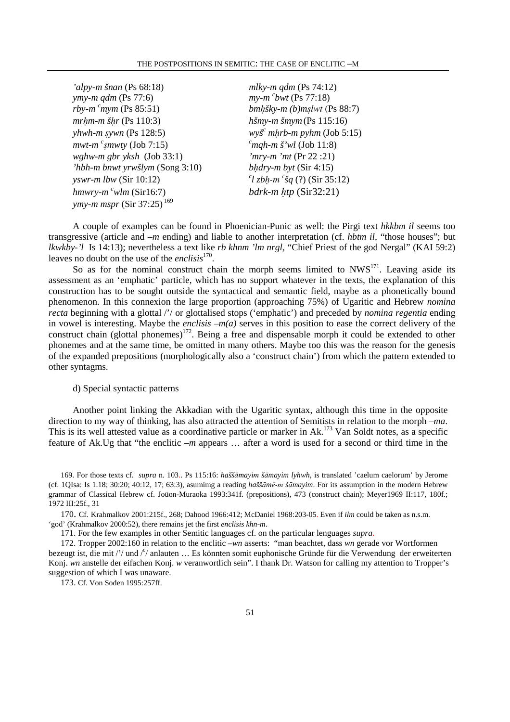| 'alpy-m šnan (Ps $68:18$ )                   | mlky-m $qdm$ (Ps 74:12)                  |
|----------------------------------------------|------------------------------------------|
| ymy-m $qdm$ (Ps 77:6)                        | $my-m$ <sup>c</sup> bwt (Ps 77:18)       |
| <i>rby-m <math>^{c}</math>mym</i> (Ps 85:51) | bmhšky-m (b)mslwt (Ps 88:7)              |
| $mr\mu m$ -m š $hr$ (Ps 110:3)               | hšmy-m šmym (Ps 115:16)                  |
| yhwh- $m$ sywn (Ps 128:5)                    | $wy\check{s}^c$ mhrb-m pyhm (Job 5:15)   |
| $mwt$ - $m$ <sup>c</sup> smwty (Job 7:15)    | $^{c}$ mqh-m š'wl (Job 11:8)             |
| wghw-m gbr yksh $(Job 33:1)$                 | 'mry-m 'mt (Pr 22 :21)                   |
| 'hbh-m bnwt yrwšlym (Song 3:10)              | bhdry- $m$ byt (Sir 4:15)                |
| yswr-m $lbw$ (Sir 10:12)                     | $^{c}$ l zbh-m $^{c}$ šq (?) (Sir 35:12) |
| $hmwry - mc w l m (Sir16:7)$                 | bdrk- $m$ htp (Sir32:21)                 |
| <i>ymy-m mspr</i> (Sir 37:25) <sup>169</sup> |                                          |

A couple of examples can be found in Phoenician-Punic as well: the Pirgi text *hkkbm il* seems too transgressive (article and –*m* ending) and liable to another interpretation (cf. *hbtm il*, "those houses"; but *lkwkby-'l* Is 14:13); nevertheless a text like *rb khnm 'lm nrgl*, "Chief Priest of the god Nergal" (KAI 59:2) leaves no doubt on the use of the *enclisis*<sup>170</sup> .

So as for the nominal construct chain the morph seems limited to  $NWS^{17}$ . Leaving aside its assessment as an 'emphatic' particle, which has no support whatever in the texts, the explanation of this construction has to be sought outside the syntactical and semantic field, maybe as a phonetically bound phenomenon. In this connexion the large proportion (approaching 75%) of Ugaritic and Hebrew *nomina recta* beginning with a glottal /'/ or glottalised stops ('emphatic') and preceded by *nomina regentia* ending in vowel is interesting. Maybe the *enclisis* –*m(a)* serves in this position to ease the correct delivery of the construct chain (glottal phonemes)<sup>172</sup>. Being a free and dispensable morph it could be extended to other phonemes and at the same time, be omitted in many others. Maybe too this was the reason for the genesis of the expanded prepositions (morphologically also a 'construct chain') from which the pattern extended to other syntagms.

# d) Special syntactic patterns

Another point linking the Akkadian with the Ugaritic syntax, although this time in the opposite direction to my way of thinking, has also attracted the attention of Semitists in relation to the morph –*ma*. This is its well attested value as a coordinative particle or marker in Ak.<sup>173</sup> Van Soldt notes, as a specific feature of Ak.Ug that "the enclitic –*m* appears … after a word is used for a second or third time in the

169. For those texts cf. *supra* n. 103.. Ps 115:16: *hašš*ā*mayi*m *š*ā*mayim lyhwh*, is translated 'caelum caelorum' by Jerome (cf. 1QIsa: Is 1.18; 30:20; 40:12, 17; 63:3), asumimg a reading *haššāmē-m šāmayim*. For its assumption in the modern Hebrew grammar of Classical Hebrew cf. Joüon-Muraoka 1993:341f. (prepositions), 473 (construct chain); Meyer1969 II:117, 180f.; 1972 III:25f., 31

170. Cf. Krahmalkov 2001:215f., 268; Dahood 1966:412; McDaniel 1968:203-05. Even if *ilm* could be taken as n.s.m. 'god' (Krahmalkov 2000:52), there remains jet the first *enclisis khn-m*.

171. For the few examples in other Semitic languages cf. on the particular lenguages *supra*.

172. Tropper 2002:160 in relation to the enclitic –*wn* asserts: "man beachtet, dass *wn* gerade vor Wortformen bezeugt ist, die mit /'/ und /<sup>c</sup>/ anlauten ... Es könnten somit euphonische Gründe für die Verwendung der erweiterten Konj. *wn* anstelle der eifachen Konj. *w* veranwortlich sein". I thank Dr. Watson for calling my attention to Tropper's suggestion of which I was unaware.

173. Cf. Von Soden 1995:257ff.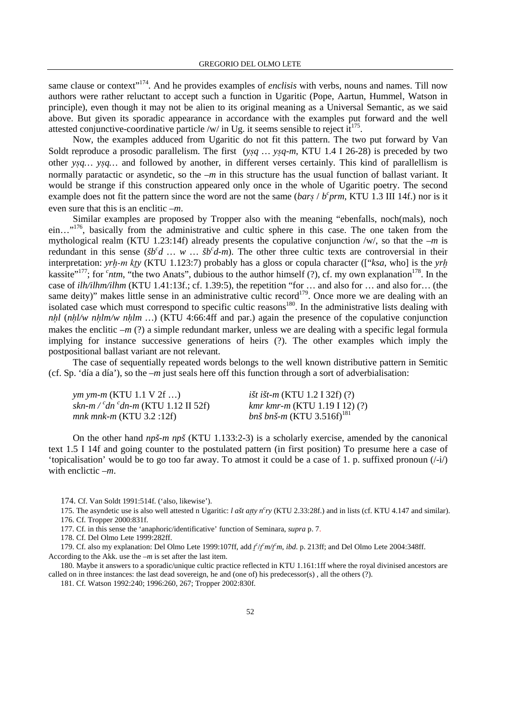same clause or context<sup>"174</sup>. And he provides examples of *enclisis* with verbs, nouns and names. Till now authors were rather reluctant to accept such a function in Ugaritic (Pope, Aartun, Hummel, Watson in principle), even though it may not be alien to its original meaning as a Universal Semantic, as we said above. But given its sporadic appearance in accordance with the examples put forward and the well attested conjunctive-coordinative particle/w/ in Ug. it seems sensible to reject it<sup>175</sup>.

Now, the examples adduced from Ugaritic do not fit this pattern. The two put forward by Van Soldt reproduce a prosodic parallelism. The first (*y*§*q* ... *y*§*q-m*, KTU 1.4 I 26-28) is preceded by two other *y*§*q… y*§*q…* and followed by another, in different verses certainly. This kind of parallellism is normally paratactic or asyndetic, so the –*m* in this structure has the usual function of ballast variant. It would be strange if this construction appeared only once in the whole of Ugaritic poetry. The second example does not fit the pattern since the word are not the same  $\left(\frac{bar}{s} / \frac{b^c}{prm}$ , KTU 1.3 III 14f.) nor is it even sure that this is an enclitic *–m*.

Similar examples are proposed by Tropper also with the meaning "ebenfalls, noch(mals), noch ein…"<sup>176</sup>, basically from the administrative and cultic sphere in this case. The one taken from the mythological realm (KTU 1.23:14f) already presents the copulative conjunction /w/, so that the –*m* is redundant in this sense ( $\delta b^c d$  ... w ...  $\delta b^c d$ -m). The other three cultic texts are controversial in their interpretation: *yrh-m kty* (KTU 1.123:7) probably has a gloss or copula character (["*ksa*, who] is the *yrh* kassite"<sup>177</sup>; for <sup>*c*</sup>ntm, "the two Anats", dubious to the author himself (?), cf. my own explanation<sup>178</sup>. In the case of *ilh/ilhm/ilhm* (KTU 1.41:13f.; cf. 1.39:5), the repetition "for … and also for … and also for… (the same deity)" makes little sense in an administrative cultic record<sup>179</sup>. Once more we are dealing with an isolated case which must correspond to specific cultic reasons<sup>180</sup>. In the administrative lists dealing with *nhl* ( $n h l/w nh l m/w nh l m$ ...) (KTU 4:66:4ff and par.) again the presence of the copulative conjunction makes the enclitic  $-m$  (?) a simple redundant marker, unless we are dealing with a specific legal formula implying for instance successive generations of heirs (?). The other examples which imply the postpositional ballast variant are not relevant.

The case of sequentially repeated words belongs to the well known distributive pattern in Semitic (cf. Sp. 'día a día'), so the –*m* just seals here off this function through a sort of adverbialisation:

| <i>ym ym-m</i> (KTU 1.1 V 2f )                          | <i>išt išt-m</i> (KTU 1.2 I 32f) $(?)$       |
|---------------------------------------------------------|----------------------------------------------|
| skn-m / $\emph{c}$ dn $\emph{c}$ dn-m (KTU 1.12 II 52f) | $kmr kmr-m$ (KTU 1.19 I 12) (?)              |
| mnk mnk-m (KTU 3.2 :12f)                                | <i>bnš bnš-m</i> (KTU 3.516f) <sup>181</sup> |

On the other hand *npš-m npš* (KTU 1.133:2-3) is a scholarly exercise, amended by the canonical text 1.5 I 14f and going counter to the postulated pattern (in first position) To presume here a case of 'topicalisation' would be to go too far away. To atmost it could be a case of 1, p. suffixed pronoun  $(\frac{1}{r})$ with enclictic *–m*.

174. Cf. Van Soldt 1991:514f. ('also, likewise').

177. Cf. in this sense the 'anaphoric/identificative' function of Seminara, *supra* p. 7.

178. Cf. Del Olmo Lete 1999:282ff.

179. Cf. also my explanation: Del Olmo Lete 1999:107ff, add  $f'/f'm/fm$ , *ibd*. p. 213ff; and Del Olmo Lete 2004:348ff. According to the Akk. use the –*m* is set after the last item.

180. Maybe it answers to a sporadic/unique cultic practice reflected in KTU 1.161:1ff where the royal divinised ancestors are called on in three instances: the last dead sovereign, he and (one of) his predecessor(s) , all the others (?).

181. Cf. Watson 1992:240; 1996:260, 267; Tropper 2002:830f.

<sup>175.</sup> The asyndetic use is also well attested n Ugaritic: *l ašt atty n<sup>c</sup>ry* (KTU 2.33:28f.) and in lists (cf. KTU 4.147 and similar). 176. Cf. Tropper 2000:831f.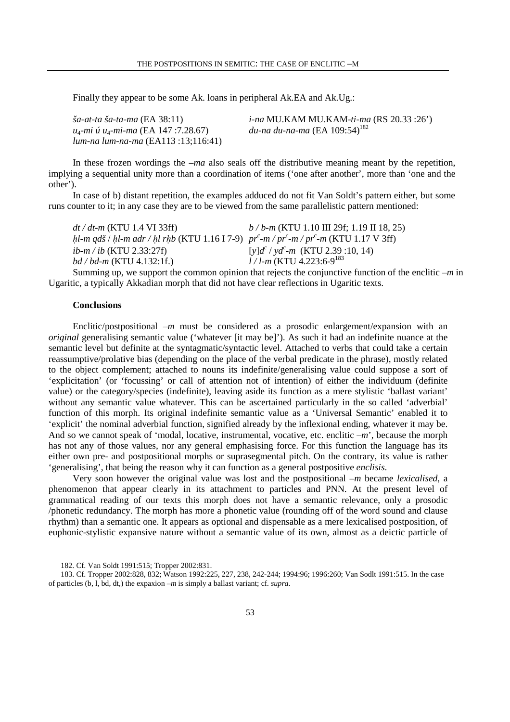Finally they appear to be some Ak. loans in peripheral Ak.EA and Ak.Ug.:

| ša-at-ta ša-ta-ma (EA 38:11)                                 | <i>i-na</i> MU.KAM MU.KAM-ti-ma (RS 20.33 :26') |
|--------------------------------------------------------------|-------------------------------------------------|
| u <sub>4</sub> -mi ú u <sub>4</sub> -mi-ma (EA 147 :7.28.67) | du-na du-na-ma (EA 109:54) <sup>182</sup>       |
| lum-na lum-na-ma (EA113 :13;116:41)                          |                                                 |

In these frozen wordings the *–ma* also seals off the distributive meaning meant by the repetition, implying a sequential unity more than a coordination of items ('one after another', more than 'one and the other').

In case of b) distant repetition, the examples adduced do not fit Van Soldt's pattern either, but some runs counter to it; in any case they are to be viewed from the same parallelistic pattern mentioned:

| $dt/dt$ -m (KTU 1.4 VI 33ff)                                                                     | $b/b$ -m (KTU 1.10 III 29f; 1.19 II 18, 25)         |
|--------------------------------------------------------------------------------------------------|-----------------------------------------------------|
| hl-m qdš / hl-m adr / hl rhb (KTU 1.16 I 7-9) $pr^c$ -m / $pr^c$ -m / $pr^c$ -m (KTU 1.17 V 3ff) |                                                     |
| <i>ib-m / ib</i> (KTU 2.33:27f)                                                                  | [y] $d^{c}$ / yd <sup>c</sup> -m (KTU 2.39 :10, 14) |
| <i>bd / bd-m</i> (KTU 4.132:1f.)                                                                 | $l/l$ -m (KTU 4.223:6-9 <sup>183</sup> )            |
| Cumming up we cunner the common epinion that rejects the conjunctive function of the             |                                                     |

Summing up, we support the common opinion that rejects the conjunctive function of the enclitic –*m* in Ugaritic, a typically Akkadian morph that did not have clear reflections in Ugaritic texts.

## **Conclusions**

Enclitic/postpositional *–m* must be considered as a prosodic enlargement/expansion with an *original* generalising semantic value ('whatever [it may be]'). As such it had an indefinite nuance at the semantic level but definite at the syntagmatic/syntactic level. Attached to verbs that could take a certain reassumptive/prolative bias (depending on the place of the verbal predicate in the phrase), mostly related to the object complement; attached to nouns its indefinite/generalising value could suppose a sort of 'explicitation' (or 'focussing' or call of attention not of intention) of either the individuum (definite value) or the category/species (indefinite), leaving aside its function as a mere stylistic 'ballast variant' without any semantic value whatever. This can be ascertained particularly in the so called 'adverbial' function of this morph. Its original indefinite semantic value as a 'Universal Semantic' enabled it to 'explicit' the nominal adverbial function, signified already by the inflexional ending, whatever it may be. And so we cannot speak of 'modal, locative, instrumental, vocative, etc. enclitic *–m*', because the morph has not any of those values, nor any general emphasising force. For this function the language has its either own pre- and postpositional morphs or suprasegmental pitch. On the contrary, its value is rather 'generalising', that being the reason why it can function as a general postpositive *enclisis*.

Very soon however the original value was lost and the postpositional –*m* became *lexicalised*, a phenomenon that appear clearly in its attachment to particles and PNN. At the present level of grammatical reading of our texts this morph does not have a semantic relevance, only a prosodic /phonetic redundancy. The morph has more a phonetic value (rounding off of the word sound and clause rhythm) than a semantic one. It appears as optional and dispensable as a mere lexicalised postposition, of euphonic-stylistic expansive nature without a semantic value of its own, almost as a deictic particle of

<sup>182.</sup> Cf. Van Soldt 1991:515; Tropper 2002:831.

<sup>183.</sup> Cf. Tropper 2002:828, 832; Watson 1992:225, 227, 238, 242-244; 1994:96; 1996:260; Van Sodlt 1991:515. In the case of particles (b, l, bd, dt,) the expaxion *–m* is simply a ballast variant; cf. *supra.*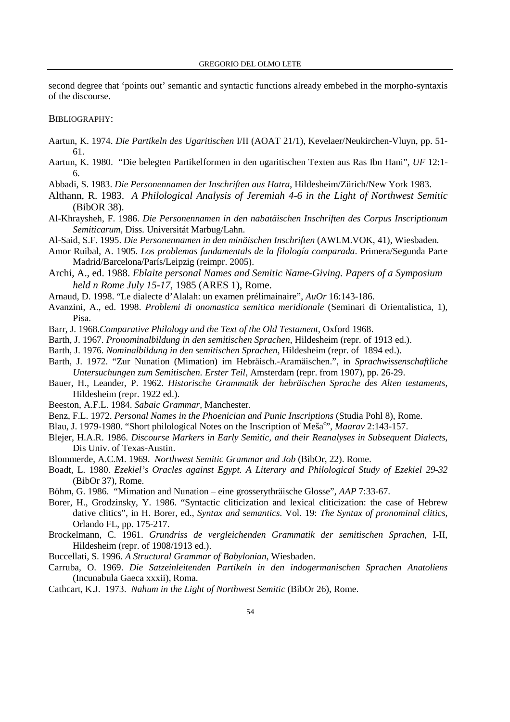second degree that 'points out' semantic and syntactic functions already embebed in the morpho-syntaxis of the discourse.

## BIBLIOGRAPHY:

- Aartun, K. 1974. *Die Partikeln des Ugaritischen* I/II (AOAT 21/1), Kevelaer/Neukirchen-Vluyn, pp. 51- 61.
- Aartun, K. 1980. "Die belegten Partikelformen in den ugaritischen Texten aus Ras Ibn Hani", *UF* 12:1- 6.
- Abbadi, S. 1983. *Die Personennamen der Inschriften aus Hatra*, Hildesheim/Zürich/New York 1983.
- Althann, R. 1983. *A Philological Analysis of Jeremiah 4-6 in the Light of Northwest Semitic* (BibOR 38).
- Al-Khraysheh, F. 1986. *Die Personennamen in den nabatäischen Inschriften des Corpus Inscriptionum Semiticarum*, Diss. Universitát Marbug/Lahn.
- Al-Said, S.F. 1995. *Die Personennamen in den minäischen Inschriften* (AWLM.VOK, 41), Wiesbaden.
- Amor Ruibal, A. 1905. *Los problemas fundamentals de la filología comparada*. Primera/Segunda Parte Madrid/Barcelona/París/Leipzig (reimpr. 2005).
- Archi, A., ed. 1988. *Eblaite personal Names and Semitic Name-Giving. Papers of a Symposium held n Rome July 15-17*, 1985 (ARES 1), Rome.
- Arnaud, D. 1998. "Le dialecte d'Alalah: un examen prélimainaire", *AuOr* 16:143-186.
- Avanzini, A., ed. 1998. *Problemi di onomastica semitica meridionale* (Seminari di Orientalistica, 1), Pisa.
- Barr, J. 1968.*Comparative Philology and the Text of the Old Testament*, Oxford 1968.
- Barth, J. 1967. *Pronominalbildung in den semitischen Sprachen*, Hildesheim (repr. of 1913 ed.).
- Barth, J. 1976. *Nominalbildung in den semitischen Sprachen*, Hildesheim (repr. of 1894 ed.).
- Barth, J. 1972. "Zur Nunation (Mimation) im Hebräisch.-Aramäischen.", in *Sprachwissenschaftliche Untersuchungen zum Semitischen. Erster Teil*, Amsterdam (repr. from 1907), pp. 26-29.
- Bauer, H., Leander, P. 1962. *Historische Grammatik der hebräischen Sprache des Alten testaments*, Hildesheim (repr. 1922 ed.).
- Beeston, A.F.L. 1984. *Sabaic Grammar*, Manchester.
- Benz, F.L. 1972. *Personal Names in the Phoenician and Punic Inscriptions* (Studia Pohl 8), Rome.
- Blau, J. 1979-1980. "Short philological Notes on the Inscription of Meša<sup>c</sup>", *Maarav* 2:143-157.
- Blejer, H.A.R. 1986. *Discourse Markers in Early Semitic, and their Reanalyses in Subsequent Dialects*, Dis Univ. of Texas-Austin.
- Blommerde, A.C.M. 1969. *Northwest Semitic Grammar and Job* (BibOr, 22). Rome.
- Boadt, L. 1980. *Ezekiel's Oracles against Egypt. A Literary and Philological Study of Ezekiel 29-32* (BibOr 37), Rome.
- Böhm, G. 1986. "Mimation and Nunation eine grosserythräische Glosse", *AAP* 7:33-67.
- Borer, H., Grodzinsky, Y. 1986. "Syntactic cliticization and lexical cliticization: the case of Hebrew dative clitics", in H. Borer, ed., *Syntax and semantics.* Vol. 19: *The Syntax of pronominal clitics*, Orlando FL, pp. 175-217.
- Brockelmann, C. 1961. *Grundriss de vergleichenden Grammatik der semitischen Sprachen*, I-II, Hildesheim (repr. of 1908/1913 ed.).
- Buccellati, S. 1996. *A Structural Grammar of Babylonian*, Wiesbaden.
- Carruba, O. 1969. *Die Satzeinleitenden Partikeln in den indogermanischen Sprachen Anatoliens* (Incunabula Gaeca xxxii), Roma.
- Cathcart, K.J. 1973. *Nahum in the Light of Northwest Semitic* (BibOr 26), Rome.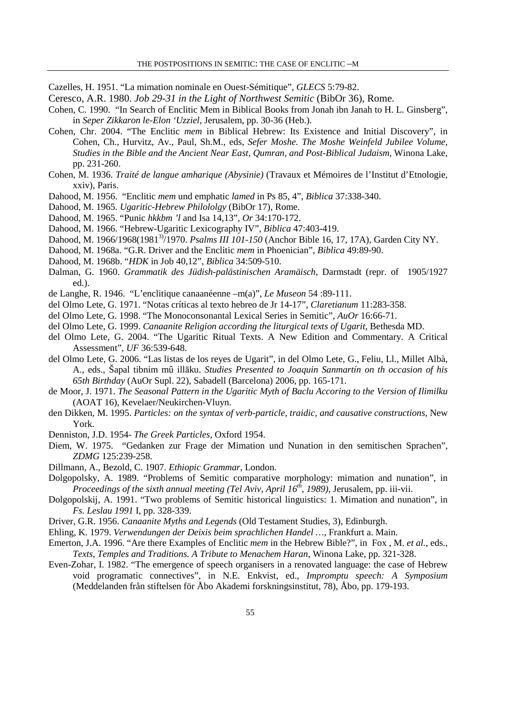Cazelles, H. 1951. "La mimation nominale en Ouest-Sémitique", *GLECS* 5:79-82.

- Ceresco, A.R. 1980. *Job 29-31 in the Light of Northwest Semitic* (BibOr 36), Rome.
- Cohen, C. 1990. "In Search of Enclitic Mem in Biblical Books from Jonah ibn Janah to H. L. Ginsberg", in *Seper Zikkaron le-Elon 'Uzziel*, Jerusalem, pp. 30-36 (Heb.).
- Cohen, Chr. 2004. "The Enclitic *mem* in Biblical Hebrew: Its Existence and Initial Discovery", in Cohen, Ch., Hurvitz, Av., Paul, Sh.M., eds, *Sefer Moshe. The Moshe Weinfeld Jubilee Volume, Studies in the Bible and the Ancient Near East, Qumran, and Post-Biblical Judaism*, Winona Lake, pp. 231-260.
- Cohen, M. 1936. *Traité de langue amharique (Abysinie)* (Travaux et Mémoires de l'Institut d'Etnologie, xxiv), Paris.
- Dahood, M. 1956. "Enclitic *mem* und emphatic *lamed* in Ps 85, 4", *Biblica* 37:338-340.
- Dahood, M. 1965. *Ugaritic-Hebrew Philololgy* (BibOr 17), Rome.
- Dahood, M. 1965. "Punic *hkkbm 'l* and Isa 14,13", *Or* 34:170-172.
- Dahood, M. 1966. "Hebrew-Ugaritic Lexicography IV", *Biblica* 47:403-419.
- Dahood, M. 1966/1968(19813)/1970. *Psalms III 101-150* (Anchor Bible 16, 17, 17A), Garden City NY.
- Dahood, M. 1968a. "G.R. Driver and the Enclitic *mem* in Phoenician", *Biblica* 49:89-90.
- Dahood, M. 1968b. "*HDK* in Job 40,12", *Biblica* 34:509-510.
- Dalman, G. 1960. *Grammatik des Jüdish-palästinischen Aramäisch*, Darmstadt (repr. of 1905/1927 ed.).
- de Langhe, R. 1946. "L'enclitique canaanéenne –m(a)", *Le Museon* 54 :89-111.
- del Olmo Lete, G. 1971. "Notas críticas al texto hebreo de Jr 14-17", *Claretianum* 11:283-358.
- del Olmo Lete, G. 1998. "The Monoconsonantal Lexical Series in Semitic", *AuOr* 16:66-71.
- del Olmo Lete, G. 1999. *Canaanite Religion according the liturgical texts of Ugarit*, Bethesda MD.
- del Olmo Lete, G. 2004. "The Ugaritic Ritual Texts. A New Edition and Commentary. A Critical Assessment", *UF* 36:539-648.
- del Olmo Lete, G. 2006. "Las listas de los reyes de Ugarit", in del Olmo Lete, G., Feliu, Ll., Millet Albà, A., eds., Šapal tibnim mû illāku. *Studies Presented to Joaquin Sanmartín on th occasion of his 65th Birthday* (AuOr Supl. 22), Sabadell (Barcelona) 2006, pp. 165-171.
- de Moor, J. 1971. *The Seasonal Pattern in the Ugaritic Myth of Baclu Accoring to the Version of Ilimilku*  (AOAT 16), Kevelaer/Neukirchen-Vluyn.
- den Dikken, M. 1995. *Particles: on the syntax of verb-particle, traidic, and causative constructions*, New York.
- Denniston, J.D. 1954- *The Greek Particles*, Oxford 1954.
- Diem, W. 1975. "Gedanken zur Frage der Mimation und Nunation in den semitischen Sprachen", *ZDMG* 125:239-258.
- Dillmann, A., Bezold, C. 1907. *Ethiopic Grammar*, London.
- Dolgopolsky, A. 1989. "Problems of Semitic comparative morphology: mimation and nunation", in *Proceedings of the sixth annual meeting (Tel Aviv, April 16th, 1989)*, Jerusalem, pp. iii-vii.
- Dolgopolskij, A. 1991. "Two problems of Semitic historical linguistics: 1. Mimation and nunation", in *Fs. Leslau 1991* I, pp. 328-339.
- Driver, G.R. 1956. *Canaanite Myths and Legends* (Old Testament Studies, 3), Edinburgh.
- Ehling, K. 1979. *Verwendungen der Deixis beim sprachlichen Handel …*, Frankfurt a. Main.
- Emerton, J.A. 1996. "Are there Examples of Enclitic *mem* in the Hebrew Bible?", in Fox , M. *et al.*, eds., *Texts, Temples and Traditions. A Tribute to Menachem Haran*, Winona Lake, pp. 321-328.
- Even-Zohar, I. 1982. "The emergence of speech organisers in a renovated language: the case of Hebrew void programatic connectives", in N.E. Enkvist, ed., *Impromptu speech: A Symposium* (Meddelanden från stiftelsen för Åbo Akademi forskningsinstitut, 78), Åbo, pp. 179-193.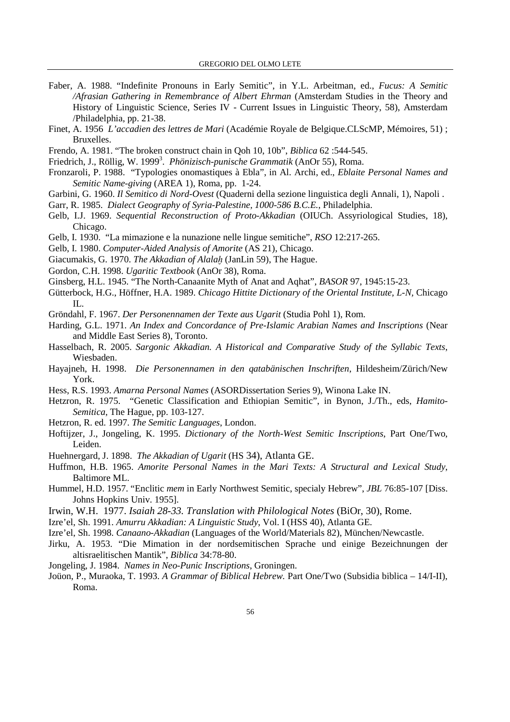- Faber, A. 1988. "Indefinite Pronouns in Early Semitic", in Y.L. Arbeitman, ed., *Fucus: A Semitic /Afrasian Gathering in Remembrance of Albert Ehrman* (Amsterdam Studies in the Theory and History of Linguistic Science, Series IV - Current Issues in Linguistic Theory, 58), Amsterdam /Philadelphia, pp. 21-38.
- Finet, A. 1956 *L'accadien des lettres de Mari* (Académie Royale de Belgique.CLScMP, Mémoires, 51) ; Bruxelles.
- Frendo, A. 1981. "The broken construct chain in Qoh 10, 10b", *Biblica* 62 :544-545.
- Friedrich, J., Röllig, W. 1999<sup>3</sup>. Phönizisch-punische Grammatik (AnOr 55), Roma.
- Fronzaroli, P. 1988. "Typologies onomastiques à Ebla", in Al. Archi, ed., *Eblaite Personal Names and Semitic Name-giving* (AREA 1), Roma, pp. 1-24.
- Garbini, G. 1960. *Il Semitico di Nord-Ovest* (Quaderni della sezione linguistica degli Annali, 1), Napoli .
- Garr, R. 1985. *Dialect Geography of Syria-Palestine, 1000-586 B.C.E.*, Philadelphia.
- Gelb, I.J. 1969. *Sequential Reconstruction of Proto-Akkadian* (OIUCh. Assyriological Studies, 18), Chicago.
- Gelb, I. 1930. "La mimazione e la nunazione nelle lingue semitiche", *RSO* 12:217-265.
- Gelb, I. 1980. *Computer-Aided Analysis of Amorite* (AS 21), Chicago.
- Giacumakis, G. 1970. *The Akkadian of Alalah* (JanLin 59), The Hague.
- Gordon, C.H. 1998. *Ugaritic Textbook* (AnOr 38), Roma.
- Ginsberg, H.L. 1945. "The North-Canaanite Myth of Anat and Aqhat", *BASOR* 97, 1945:15-23.
- Gütterbock, H.G., Höffner, H.A. 1989. *Chicago Hittite Dictionary of the Oriental Institute, L-N,* Chicago IL.
- Gröndahl, F. 1967. *Der Personennamen der Texte aus Ugarit* (Studia Pohl 1), Rom.
- Harding, G.L. 1971. *An Index and Concordance of Pre-Islamic Arabian Names and Inscriptions* (Near and Middle East Series 8), Toronto.
- Hasselbach, R. 2005. *Sargonic Akkadian. A Historical and Comparative Study of the Syllabic Texts*, Wiesbaden.
- Hayajneh, H. 1998. *Die Personennamen in den qatabänischen Inschriften*, Hildesheim/Zürich/New York.
- Hess, R.S. 1993. *Amarna Personal Names* (ASORDissertation Series 9), Winona Lake IN.
- Hetzron, R. 1975. "Genetic Classification and Ethiopian Semitic", in Bynon, J./Th., eds, *Hamito-Semitica*, The Hague, pp. 103-127.
- Hetzron, R. ed. 1997. *The Semitic Languages*, London.
- Hoftijzer, J., Jongeling, K. 1995. *Dictionary of the North-West Semitic Inscriptions*, Part One/Two, Leiden.
- Huehnergard, J. 1898. *The Akkadian of Ugarit* (HS 34), Atlanta GE.
- Huffmon, H.B. 1965. *Amorite Personal Names in the Mari Texts: A Structural and Lexical Study*, Baltimore ML.
- Hummel, H.D. 1957. "Enclitic *mem* in Early Northwest Semitic, specialy Hebrew", *JBL* 76:85-107 [Diss. Johns Hopkins Univ. 1955].
- Irwin, W.H. 1977. *Isaiah 28-33. Translation with Philological Notes* (BiOr, 30), Rome.
- Izre'el, Sh. 1991. *Amurru Akkadian: A Linguistic Study*, Vol. I (HSS 40), Atlanta GE.
- Izre'el, Sh. 1998. *Canaano-Akkadian* (Languages of the World/Materials 82), München/Newcastle.
- Jirku, A. 1953. "Die Mimation in der nordsemitischen Sprache und einige Bezeichnungen der altisraelitischen Mantik", *Biblica* 34:78-80.
- Jongeling, J. 1984. *Names in Neo-Punic Inscriptions*, Groningen.
- Joüon, P., Muraoka, T. 1993. *A Grammar of Biblical Hebrew.* Part One/Two (Subsidia biblica 14/I-II), Roma.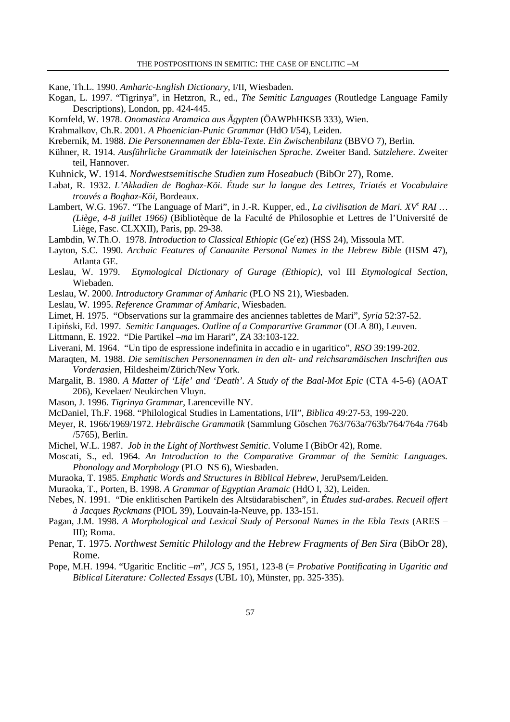Kane, Th.L. 1990. *Amharic-English Dictionary*, I/II, Wiesbaden.

- Kogan, L. 1997. "Tigrinya", in Hetzron, R., ed., *The Semitic Languages* (Routledge Language Family Descriptions), London, pp. 424-445.
- Kornfeld, W. 1978. *Onomastica Aramaica aus Ägypten* (ÖAWPhHKSB 333), Wien.
- Krahmalkov, Ch.R. 2001. *A Phoenician-Punic Grammar* (HdO I/54), Leiden.
- Krebernik, M. 1988. *Die Personennamen der Ebla-Texte. Ein Zwischenbilanz* (BBVO 7), Berlin.
- Kühner, R. 1914. *Ausführliche Grammatik der lateinischen Sprache*. Zweiter Band. *Satzlehere*. Zweiter teil, Hannover.
- Kuhnick, W. 1914. *Nordwestsemitische Studien zum Hoseabuch* (BibOr 27), Rome.
- Labat, R. 1932. *L'Akkadien de Boghaz-Köi. Étude sur la langue des Lettres, Triatés et Vocabulaire trouvés a Boghaz-Köi*, Bordeaux.
- Lambert, W.G. 1967. "The Language of Mari", in J.-R. Kupper, ed., *La civilisation de Mari. XV<sup>e</sup> RAI* ... *(Liège, 4-8 juillet 1966)* (Bibliotèque de la Faculté de Philosophie et Lettres de l'Université de Liège, Fasc. CLXXII), Paris, pp. 29-38.
- Lambdin, W.Th.O. 1978. *Introduction to Classical Ethiopic* (Ge<sup>c</sup>ez) (HSS 24), Missoula MT.
- Layton, S.C. 1990. *Archaic Features of Canaanite Personal Names in the Hebrew Bible* (HSM 47), Atlanta GE.
- Leslau, W. 1979. *Etymological Dictionary of Gurage (Ethiopic)*, vol III *Etymological Section*, Wiebaden.
- Leslau, W. 2000. *Introductory Grammar of Amharic* (PLO NS 21), Wiesbaden.
- Leslau, W. 1995. *Reference Grammar of Amharic*, Wiesbaden.
- Limet, H. 1975. "Observations sur la grammaire des anciennes tablettes de Mari", *Syria* 52:37-52.
- Lipiński, Ed. 1997. *Semitic Languages. Outline of a Comparartive Grammar* (OLA 80), Leuven.
- Littmann, E. 1922. "Die Partikel *–ma* im Harari", *ZA* 33:103-122.
- Liverani, M. 1964. "Un tipo de espressione indefinita in accadio e in ugaritico", *RSO* 39:199-202.
- Maraqten, M. 1988. *Die semitischen Personennamen in den alt- und reichsaramäischen Inschriften aus Vorderasien*, Hildesheim/Zürich/New York.
- Margalit, B. 1980. *A Matter of 'Life' and 'Death'. A Study of the Baal-Mot Epic* (CTA 4-5-6) (AOAT 206), Kevelaer/ Neukirchen Vluyn.
- Mason, J. 1996. *Tigrinya Grammar*, Larenceville NY.
- McDaniel, Th.F. 1968. "Philological Studies in Lamentations, I/II", *Biblica* 49:27-53, 199-220.
- Meyer, R. 1966/1969/1972. *Hebräische Grammatik* (Sammlung Göschen 763/763a/763b/764/764a /764b /5765), Berlin.
- Michel, W.L. 1987. *Job in the Light of Northwest Semitic*. Volume I (BibOr 42), Rome.
- Moscati, S., ed. 1964. *An Introduction to the Comparative Grammar of the Semitic Languages. Phonology and Morphology* (PLO NS 6), Wiesbaden.
- Muraoka, T. 1985. *Emphatic Words and Structures in Biblical Hebrew*, JeruPsem/Leiden.
- Muraoka, T., Porten, B. 1998. *A Grammar of Egyptian Aramaic* (HdO I, 32), Leiden.
- Nebes, N. 1991. "Die enklitischen Partikeln des Altsüdarabischen", in *Études sud-arabes. Recueil offert à Jacques Ryckmans* (PIOL 39), Louvain-la-Neuve, pp. 133-151.
- Pagan, J.M. 1998. *A Morphological and Lexical Study of Personal Names in the Ebla Texts* (ARES III); Roma.
- Penar, T. 1975. *Northwest Semitic Philology and the Hebrew Fragments of Ben Sira* (BibOr 28), Rome.
- Pope, M.H. 1994. "Ugaritic Enclitic –*m*", *JCS* 5, 1951, 123-8 (= *Probative Pontificating in Ugaritic and Biblical Literature: Collected Essays* (UBL 10), Münster, pp. 325-335).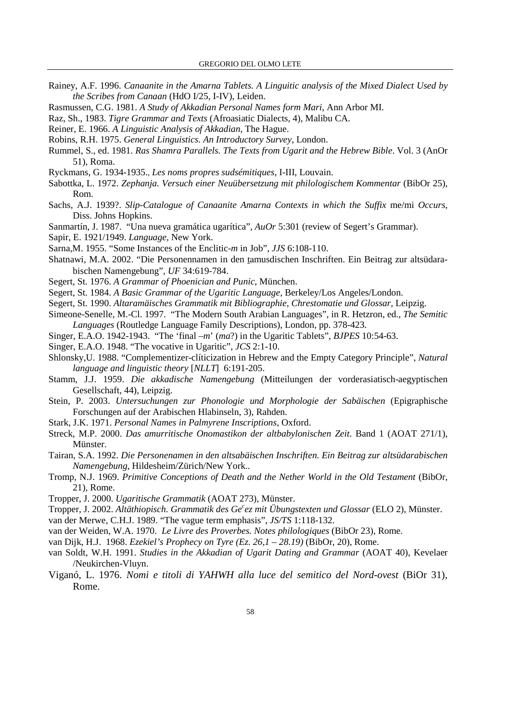- Rainey, A.F. 1996. *Canaanite in the Amarna Tablets. A Linguitic analysis of the Mixed Dialect Used by the Scribes from Canaan* (HdO I/25, I-IV), Leiden.
- Rasmussen, C.G. 1981. *A Study of Akkadian Personal Names form Mari*, Ann Arbor MI.
- Raz, Sh., 1983. *Tigre Grammar and Texts* (Afroasiatic Dialects, 4), Malibu CA.
- Reiner, E. 1966. *A Linguistic Analysis of Akkadian*, The Hague.
- Robins, R.H. 1975. *General Linguistics. An Introductory Survey*, London.
- Rummel, S., ed. 1981. *Ras Shamra Parallels. The Texts from Ugarit and the Hebrew Bible*. Vol. 3 (AnOr 51), Roma.
- Ryckmans, G. 1934-1935., *Les noms propres sudsémitiques*, I-III, Louvain.
- Sabottka, L. 1972. *Zephanja. Versuch einer Neuübersetzung mit philologischem Kommentar* (BibOr 25), Rom.
- Sachs, A.J. 1939?. *Slip-Catalogue of Canaanite Amarna Contexts in which the Suffix* me/mi *Occurs*, Diss. Johns Hopkins.
- Sanmartín, J. 1987. "Una nueva gramática ugarítica", *AuOr* 5:301 (review of Segert's Grammar).
- Sapir, E. 1921/1949. *Language*, New York.
- Sarna,M. 1955. "Some Instances of the Enclitic-*m* in Job", *JJS* 6:108-110.
- Shatnawi, M.A. 2002. "Die Personennamen in den tamusdischen Inschriften. Ein Beitrag zur altsüdarabischen Namengebung", *UF* 34:619-784.
- Segert, St. 1976. *A Grammar of Phoenician and Punic*, München.
- Segert, St. 1984. *A Basic Grammar of the Ugaritic Language*, Berkeley/Los Angeles/London.
- Segert, St. 1990. *Altaramäisches Grammatik mit Bibliographie, Chrestomatie und Glossar*, Leipzig.
- Simeone-Senelle, M.-Cl. 1997. "The Modern South Arabian Languages", in R. Hetzron, ed., *The Semitic Languages* (Routledge Language Family Descriptions), London, pp. 378-423.
- Singer, E.A.O. 1942-1943. "The 'final *–m*' (*ma*?) in the Ugaritic Tablets", *BJPES* 10:54-63.
- Singer, E.A.O. 1948. "The vocative in Ugaritic", *JCS* 2:1-10.
- Shlonsky,U. 1988. "Complementizer-clíticization in Hebrew and the Empty Category Principle", *Natural language and linguistic theory* [*NLLT*]6:191-205.
- Stamm, J.J. 1959. *Die akkadische Namengebung* (Mitteilungen der vorderasiatisch-aegyptischen Gesellschaft, 44), Leipzig.
- Stein, P. 2003. *Untersuchungen zur Phonologie und Morphologie der Sabäischen* (Epigraphische Forschungen auf der Arabischen Hlabinseln, 3), Rahden.
- Stark, J.K. 1971. *Personal Names in Palmyrene Inscriptions*, Oxford.
- Streck, M.P. 2000. *Das amurritische Onomastikon der altbabylonischen Zeit*. Band 1 (AOAT 271/1), Münster.
- Tairan, S.A. 1992. *Die Personenamen in den altsabäischen Inschriften. Ein Beitrag zur altsüdarabischen Namengebung*, Hildesheim/Zürich/New York..
- Tromp, N.J. 1969. *Primitive Conceptions of Death and the Nether World in the Old Testament* (BibOr, 21), Rome.
- Tropper, J. 2000. *Ugaritische Grammatik* (AOAT 273), Münster.
- Tropper, J. 2002. *Altäthiopisch. Grammatik des Ge<sup>c</sup> ez mit Übungstexten und Glossar* (ELO 2), Münster.
- van der Merwe, C.H.J. 1989. "The vague term emphasis", *JS/TS* 1:118-132.
- van der Weiden, W.A. 1970. *Le Livre des Proverbes. Notes philologiques* (BibOr 23), Rome.
- van Dijk, H.J. 1968. *Ezekiel's Prophecy on Tyre (Ez. 26,1 28.19)* (BibOr, 20), Rome.
- van Soldt, W.H. 1991. *Studies in the Akkadian of Ugarit Dating and Grammar* (AOAT 40), Kevelaer /Neukirchen-Vluyn.
- Viganó, L. 1976. *Nomi e titoli di YAHWH alla luce del semitico del Nord-ovest* (BiOr 31), Rome.